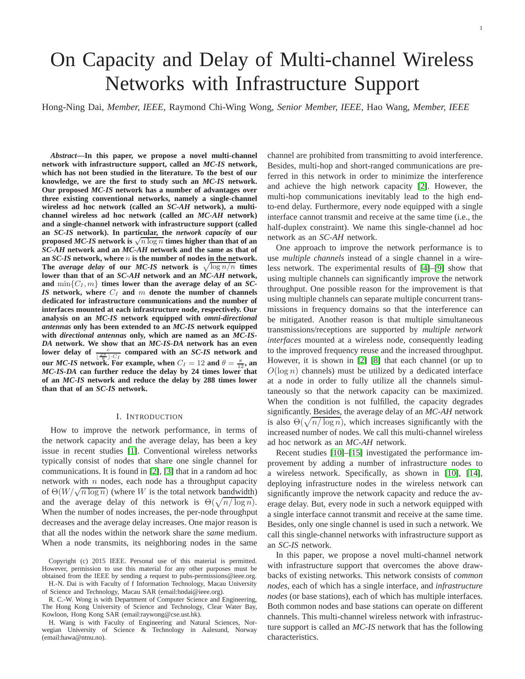# On Capacity and Delay of Multi-channel Wireless Networks with Infrastructure Support

Hong-Ning Dai, *Member, IEEE,* Raymond Chi-Wing Wong, *Senior Member, IEEE,* Hao Wang, *Member, IEEE*

*Abstract***—In this paper, we propose a novel multi-channel network with infrastructure support, called an** *MC-IS* **network, which has not been studied in the literature. To the best of our knowledge, we are the first to study such an** *MC-IS* **network. Our proposed** *MC-IS* **network has a number of advantages over three existing conventional networks, namely a single-channel wireless ad hoc network (called an** *SC-AH* **network), a multichannel wireless ad hoc network (called an** *MC-AH* **network) and a single-channel network with infrastructure support (called an** *SC-IS* **network). In particular, the** *network capacity* **of our proposed** *MC-IS* network is  $\sqrt{n \log n}$  **times higher than that of an** *SC-AH* **network and an** *MC-AH* **network and the same as that of an** *SC-IS* **network, where** n **is the number of nodes in the network.** The *average delay* of our *MC-IS* network is  $\sqrt{\log n/n}$  times **lower than that of an** *SC-AH* **network and an** *MC-AH* **network,** and  $\min\{C_I, m\}$  times lower than the average delay of an *SC*- $IS$  **network, where**  $C_I$  **and** m **denote** the number of channels **dedicated for infrastructure communications and the number of interfaces mounted at each infrastructure node, respectively. Our analysis on an** *MC-IS* **network equipped with** *omni-directional antennas* **only has been extended to an** *MC-IS* **network equipped with** *directional antennas* **only, which are named as an** *MC-IS-DA* **network. We show that an** *MC-IS-DA* **network has an even** lower delay of  $\frac{c}{\lfloor \frac{2\pi}{\theta} \rfloor \cdot C_I}$  compared with an *SC-IS* network and **our** *MC-IS* network. For example, when  $C_I = 12$  and  $\theta = \frac{\pi}{12}$ , an *MC-IS-DA* **can further reduce the delay by 24 times lower that of an** *MC-IS* **network and reduce the delay by 288 times lower than that of an** *SC-IS* **network.**

## I. INTRODUCTION

How to improve the network performance, in terms of the network capacity and the average delay, has been a key issue in recent studies [\[1\]](#page-13-0). Conventional wireless networks typically consist of nodes that share one single channel for communications. It is found in [\[2\]](#page-13-1), [\[3\]](#page-13-2) that in a random ad hoc network with  $n$  nodes, each node has a throughput capacity of  $\Theta(W/\sqrt{n \log n})$  (where W is the total network bandwidth) and the average delay of this network is  $\Theta(\sqrt{n/\log n})$ . When the number of nodes increases, the per-node throughput decreases and the average delay increases. One major reason is that all the nodes within the network share the *same* medium. When a node transmits, its neighboring nodes in the same

of Science and Technology, Macau SAR (email:hndai@ieee.org).

channel are prohibited from transmitting to avoid interference. Besides, multi-hop and short-ranged communications are preferred in this network in order to minimize the interference and achieve the high network capacity [\[2\]](#page-13-1). However, the multi-hop communications inevitably lead to the high endto-end delay. Furthermore, every node equipped with a single interface cannot transmit and receive at the same time (i.e., the half-duplex constraint). We name this single-channel ad hoc network as an *SC-AH* network.

One approach to improve the network performance is to use *multiple channels* instead of a single channel in a wireless network. The experimental results of [\[4\]](#page-13-3)–[\[9\]](#page-13-4) show that using multiple channels can significantly improve the network throughput. One possible reason for the improvement is that using multiple channels can separate multiple concurrent transmissions in frequency domains so that the interference can be mitigated. Another reason is that multiple simultaneous transmissions/receptions are supported by *multiple network interfaces* mounted at a wireless node, consequently leading to the improved frequency reuse and the increased throughput. However, it is shown in [\[2\]](#page-13-1) [\[8\]](#page-13-5) that each channel (or up to  $O(\log n)$  channels) must be utilized by a dedicated interface at a node in order to fully utilize all the channels simultaneously so that the network capacity can be maximized. When the condition is not fulfilled, the capacity degrades significantly. Besides, the average delay of an *MC-AH* network is also  $\Theta(\sqrt{n/\log n})$ , which increases significantly with the increased number of nodes. We call this multi-channel wireless ad hoc network as an *MC-AH* network.

Recent studies [\[10\]](#page-13-6)–[\[15\]](#page-14-0) investigated the performance improvement by adding a number of infrastructure nodes to a wireless network. Specifically, as shown in [\[10\]](#page-13-6), [\[14\]](#page-13-7), deploying infrastructure nodes in the wireless network can significantly improve the network capacity and reduce the average delay. But, every node in such a network equipped with a single interface cannot transmit and receive at the same time. Besides, only one single channel is used in such a network. We call this single-channel networks with infrastructure support as an *SC-IS* network.

In this paper, we propose a novel multi-channel network with infrastructure support that overcomes the above drawbacks of existing networks. This network consists of *common nodes*, each of which has a single interface, and *infrastructure nodes* (or base stations), each of which has multiple interfaces. Both common nodes and base stations can operate on different channels. This multi-channel wireless network with infrastructure support is called an *MC-IS* network that has the following characteristics.

Copyright (c) 2015 IEEE. Personal use of this material is permitted. However, permission to use this material for any other purposes must be obtained from the IEEE by sending a request to pubs-permissions@ieee.org. H.-N. Dai is with Faculty of f Information Technology, Macau University

R. C.-W. Wong is with Department of Computer Science and Engineering, The Hong Kong University of Science and Technology, Clear Water Bay, Kowloon, Hong Kong SAR (email:raywong@cse.ust.hk).

H. Wang is with Faculty of Engineering and Natural Sciences, Norwegian University of Science & Technology in Aalesund, Norway (email:hawa@ntnu.no).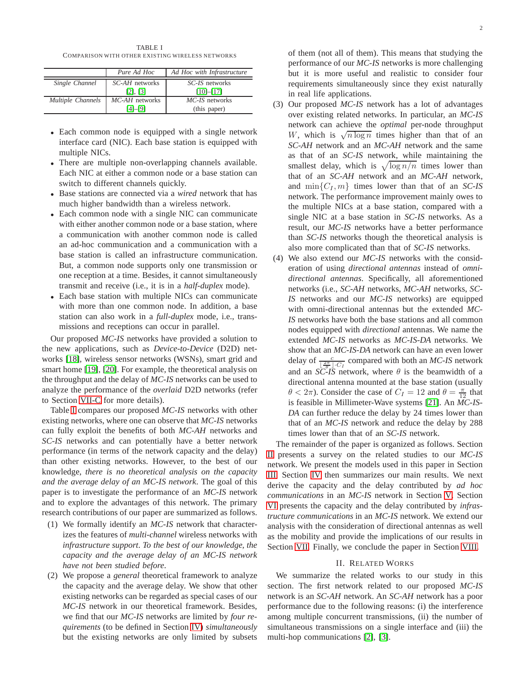<span id="page-1-0"></span>TABLE I COMPARISON WITH OTHER EXISTING WIRELESS NETWORKS

|                   | Pure Ad Hoc           | Ad Hoc with Infrastructure |
|-------------------|-----------------------|----------------------------|
| Single Channel    | <i>SC-AH</i> networks | <i>SC-IS</i> networks      |
|                   | $[2]$ , $[3]$         | $[10]-[17]$                |
| Multiple Channels | $MC$ -AH networks     | <i>MC-IS</i> networks      |
|                   | [4]-[9]               | (this paper)               |

- Each common node is equipped with a single network interface card (NIC). Each base station is equipped with multiple NICs.
- There are multiple non-overlapping channels available. Each NIC at either a common node or a base station can switch to different channels quickly.
- Base stations are connected via a *wired* network that has much higher bandwidth than a wireless network.
- Each common node with a single NIC can communicate with either another common node or a base station, where a communication with another common node is called an ad-hoc communication and a communication with a base station is called an infrastructure communication. But, a common node supports only one transmission or one reception at a time. Besides, it cannot simultaneously transmit and receive (i.e., it is in a *half-duplex* mode).
- Each base station with multiple NICs can communicate with more than one common node. In addition, a base station can also work in a *full-duplex* mode, i.e., transmissions and receptions can occur in parallel.

Our proposed *MC-IS* networks have provided a solution to the new applications, such as *Device-to-Device* (D2D) networks [\[18\]](#page-14-2), wireless sensor networks (WSNs), smart grid and smart home [\[19\]](#page-14-3), [\[20\]](#page-14-4). For example, the theoretical analysis on the throughput and the delay of *MC-IS* networks can be used to analyze the performance of the *overlaid* D2D networks (refer to Section [VII-C](#page-12-0) for more details).

Table [I](#page-1-0) compares our proposed *MC-IS* networks with other existing networks, where one can observe that *MC-IS* networks can fully exploit the benefits of both *MC-AH* networks and *SC-IS* networks and can potentially have a better network performance (in terms of the network capacity and the delay) than other existing networks. However, to the best of our knowledge, *there is no theoretical analysis on the capacity and the average delay of an MC-IS network*. The goal of this paper is to investigate the performance of an *MC-IS* network and to explore the advantages of this network. The primary research contributions of our paper are summarized as follows.

- (1) We formally identify an *MC-IS* network that characterizes the features of *multi-channel* wireless networks with *infrastructure support*. *To the best of our knowledge, the capacity and the average delay of an MC-IS network have not been studied before*.
- (2) We propose a *general* theoretical framework to analyze the capacity and the average delay. We show that other existing networks can be regarded as special cases of our *MC-IS* network in our theoretical framework. Besides, we find that our *MC-IS* networks are limited by *four requirements* (to be defined in Section [IV\)](#page-4-0) *simultaneously* but the existing networks are only limited by subsets

of them (not all of them). This means that studying the performance of our *MC-IS* networks is more challenging but it is more useful and realistic to consider four requirements simultaneously since they exist naturally in real life applications.

- (3) Our proposed *MC-IS* network has a lot of advantages over existing related networks. In particular, an *MC-IS* network can achieve the *optimal* per-node throughput W, which is  $\sqrt{n \log n}$  times higher than that of an *SC-AH* network and an *MC-AH* network and the same as that of an *SC-IS* network, while maintaining the smallest delay, which is  $\sqrt{\log n/n}$  times lower than that of an *SC-AH* network and an *MC-AH* network, and  $\min\{C_I, m\}$  times lower than that of an *SC-IS* network. The performance improvement mainly owes to the multiple NICs at a base station, compared with a single NIC at a base station in *SC-IS* networks. As a result, our *MC-IS* networks have a better performance than *SC-IS* networks though the theoretical analysis is also more complicated than that of *SC-IS* networks.
- (4) We also extend our *MC-IS* networks with the consideration of using *directional antennas* instead of *omnidirectional antennas*. Specifically, all aforementioned networks (i.e., *SC-AH* networks, *MC-AH* networks, *SC-IS* networks and our *MC-IS* networks) are equipped with omni-directional antennas but the extended *MC-IS* networks have both the base stations and all common nodes equipped with *directional* antennas. We name the extended *MC-IS* networks as *MC-IS-DA* networks. We show that an *MC-IS-DA* network can have an even lower delay of  $\frac{c}{\sqrt{\frac{2\pi}{g}} \cdot C_I}$  compared with both an *MC-IS* network and an *SC-IS* network, where  $\theta$  is the beamwidth of a directional antenna mounted at the base station (usually  $\theta < 2\pi$ ). Consider the case of  $C_I = 12$  and  $\theta = \frac{\pi}{12}$  that is feasible in Millimeter-Wave systems [\[21\]](#page-14-5). An *MC-IS-DA* can further reduce the delay by 24 times lower than that of an *MC-IS* network and reduce the delay by 288 times lower than that of an *SC-IS* network.

The remainder of the paper is organized as follows. Section [II](#page-1-1) presents a survey on the related studies to our *MC-IS* network. We present the models used in this paper in Section [III.](#page-2-0) Section [IV](#page-4-0) then summarizes our main results. We next derive the capacity and the delay contributed by *ad hoc communications* in an *MC-IS* network in Section [V.](#page-6-0) Section [VI](#page-9-0) presents the capacity and the delay contributed by *infrastructure communications* in an *MC-IS* network. We extend our analysis with the consideration of directional antennas as well as the mobility and provide the implications of our results in Section [VII.](#page-10-0) Finally, we conclude the paper in Section [VIII.](#page-12-1)

#### II. RELATED WORKS

<span id="page-1-1"></span>We summarize the related works to our study in this section. The first network related to our proposed *MC-IS* network is an *SC-AH* network. An *SC-AH* network has a poor performance due to the following reasons: (i) the interference among multiple concurrent transmissions, (ii) the number of simultaneous transmissions on a single interface and (iii) the multi-hop communications [\[2\]](#page-13-1), [\[3\]](#page-13-2).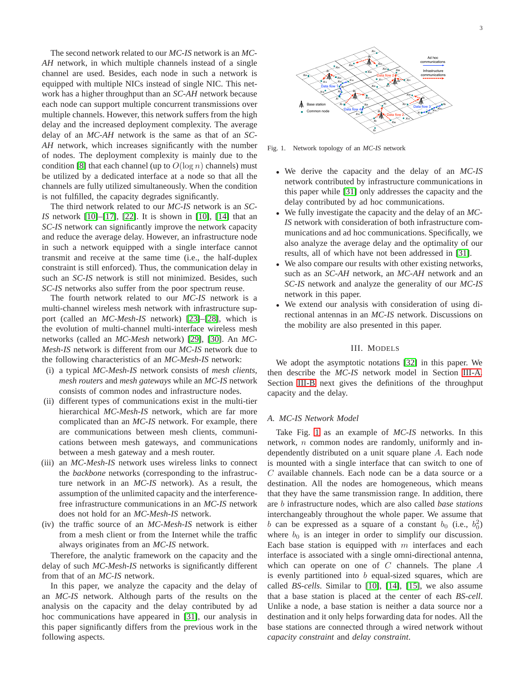The second network related to our *MC-IS* network is an *MC-AH* network, in which multiple channels instead of a single channel are used. Besides, each node in such a network is equipped with multiple NICs instead of single NIC. This network has a higher throughput than an *SC-AH* network because each node can support multiple concurrent transmissions over multiple channels. However, this network suffers from the high delay and the increased deployment complexity. The average delay of an *MC-AH* network is the same as that of an *SC-AH* network, which increases significantly with the number of nodes. The deployment complexity is mainly due to the condition [\[8\]](#page-13-5) that each channel (up to  $O(\log n)$  channels) must be utilized by a dedicated interface at a node so that all the channels are fully utilized simultaneously. When the condition is not fulfilled, the capacity degrades significantly.

The third network related to our *MC-IS* network is an *SC-IS* network [\[10\]](#page-13-6)–[\[17\]](#page-14-1), [\[22\]](#page-14-6). It is shown in [\[10\]](#page-13-6), [\[14\]](#page-13-7) that an *SC-IS* network can significantly improve the network capacity and reduce the average delay. However, an infrastructure node in such a network equipped with a single interface cannot transmit and receive at the same time (i.e., the half-duplex constraint is still enforced). Thus, the communication delay in such an *SC-IS* network is still not minimized. Besides, such *SC-IS* networks also suffer from the poor spectrum reuse.

The fourth network related to our *MC-IS* network is a multi-channel wireless mesh network with infrastructure support (called an *MC-Mesh-IS* network) [\[23\]](#page-14-7)–[\[28\]](#page-14-8), which is the evolution of multi-channel multi-interface wireless mesh networks (called an *MC-Mesh* network) [\[29\]](#page-14-9), [\[30\]](#page-14-10). An *MC-Mesh-IS* network is different from our *MC-IS* network due to the following characteristics of an *MC-Mesh-IS* network:

- (i) a typical *MC-Mesh-IS* network consists of *mesh clients*, *mesh routers* and *mesh gateways* while an *MC-IS* network consists of common nodes and infrastructure nodes.
- (ii) different types of communications exist in the multi-tier hierarchical *MC-Mesh-IS* network, which are far more complicated than an *MC-IS* network. For example, there are communications between mesh clients, communications between mesh gateways, and communications between a mesh gateway and a mesh router.
- (iii) an *MC-Mesh-IS* network uses wireless links to connect the *backbone* networks (corresponding to the infrastructure network in an *MC-IS* network). As a result, the assumption of the unlimited capacity and the interferencefree infrastructure communications in an *MC-IS* network does not hold for an *MC-Mesh-IS* network.
- (iv) the traffic source of an *MC-Mesh-IS* network is either from a mesh client or from the Internet while the traffic always originates from an *MC-IS* network.

Therefore, the analytic framework on the capacity and the delay of such *MC-Mesh-IS* networks is significantly different from that of an *MC-IS* network.

In this paper, we analyze the capacity and the delay of an *MC-IS* network. Although parts of the results on the analysis on the capacity and the delay contributed by ad hoc communications have appeared in [\[31\]](#page-14-11), our analysis in this paper significantly differs from the previous work in the following aspects.



Fig. 1. Network topology of an *MC-IS* network

- <span id="page-2-2"></span>• We derive the capacity and the delay of an *MC-IS* network contributed by infrastructure communications in this paper while [\[31\]](#page-14-11) only addresses the capacity and the delay contributed by ad hoc communications.
- We fully investigate the capacity and the delay of an *MC*-*IS* network with consideration of both infrastructure communications and ad hoc communications. Specifically, we also analyze the average delay and the optimality of our results, all of which have not been addressed in [\[31\]](#page-14-11).
- We also compare our results with other existing networks, such as an *SC-AH* network, an *MC-AH* network and an *SC-IS* network and analyze the generality of our *MC-IS* network in this paper.
- We extend our analysis with consideration of using directional antennas in an *MC-IS* network. Discussions on the mobility are also presented in this paper.

#### III. MODELS

<span id="page-2-0"></span>We adopt the asymptotic notations [\[32\]](#page-14-12) in this paper. We then describe the *MC-IS* network model in Section [III-A.](#page-2-1) Section [III-B](#page-3-0) next gives the definitions of the throughput capacity and the delay.

#### <span id="page-2-1"></span>*A. MC-IS Network Model*

Take Fig. [1](#page-2-2) as an example of *MC-IS* networks. In this network, n common nodes are randomly, uniformly and independently distributed on a unit square plane A. Each node is mounted with a single interface that can switch to one of  $C$  available channels. Each node can be a data source or a destination. All the nodes are homogeneous, which means that they have the same transmission range. In addition, there are b infrastructure nodes, which are also called *base stations* interchangeably throughout the whole paper. We assume that b can be expressed as a square of a constant  $b_0$  (i.e.,  $b_0^2$ ) where  $b_0$  is an integer in order to simplify our discussion. Each base station is equipped with  $m$  interfaces and each interface is associated with a single omni-directional antenna, which can operate on one of  $C$  channels. The plane  $A$ is evenly partitioned into  $b$  equal-sized squares, which are called *BS-cells*. Similar to [\[10\]](#page-13-6), [\[14\]](#page-13-7), [\[15\]](#page-14-0), we also assume that a base station is placed at the center of each *BS-cell*. Unlike a node, a base station is neither a data source nor a destination and it only helps forwarding data for nodes. All the base stations are connected through a wired network without *capacity constraint* and *delay constraint*.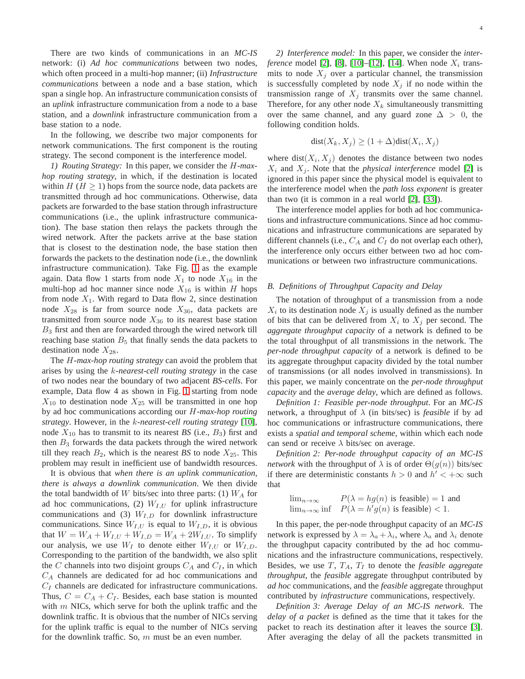There are two kinds of communications in an *MC-IS* network: (i) *Ad hoc communications* between two nodes, which often proceed in a multi-hop manner; (ii) *Infrastructure communications* between a node and a base station, which span a single hop. An infrastructure communication consists of an *uplink* infrastructure communication from a node to a base station, and a *downlink* infrastructure communication from a base station to a node.

In the following, we describe two major components for network communications. The first component is the routing strategy. The second component is the interference model.

*1) Routing Strategy:* In this paper, we consider the H*-maxhop routing strategy*, in which, if the destination is located within  $H(H \geq 1)$  hops from the source node, data packets are transmitted through ad hoc communications. Otherwise, data packets are forwarded to the base station through infrastructure communications (i.e., the uplink infrastructure communication). The base station then relays the packets through the wired network. After the packets arrive at the base station that is closest to the destination node, the base station then forwards the packets to the destination node (i.e., the downlink infrastructure communication). Take Fig. [1](#page-2-2) as the example again. Data flow 1 starts from node  $X_1$  to node  $X_{16}$  in the multi-hop ad hoc manner since node  $X_{16}$  is within H hops from node  $X_1$ . With regard to Data flow 2, since destination node  $X_{28}$  is far from source node  $X_{36}$ , data packets are transmitted from source node  $X_{36}$  to its nearest base station  $B_3$  first and then are forwarded through the wired network till reaching base station  $B_5$  that finally sends the data packets to destination node  $X_{28}$ .

The H*-max-hop routing strategy* can avoid the problem that arises by using the k*-nearest-cell routing strategy* in the case of two nodes near the boundary of two adjacent *BS-cells*. For example, Data flow 4 as shown in Fig. [1](#page-2-2) starting from node  $X_{10}$  to destination node  $X_{25}$  will be transmitted in one hop by ad hoc communications according our H*-max-hop routing strategy*. However, in the k*-nearest-cell routing strategy* [\[10\]](#page-13-6), node  $X_{10}$  has to transmit to its nearest *BS* (i.e.,  $B_3$ ) first and then  $B_3$  forwards the data packets through the wired network till they reach  $B_2$ , which is the nearest *BS* to node  $X_{25}$ . This problem may result in inefficient use of bandwidth resources.

It is obvious that *when there is an uplink communication, there is always a downlink communication*. We then divide the total bandwidth of  $W$  bits/sec into three parts: (1)  $W_A$  for ad hoc communications, (2)  $W_{I,U}$  for uplink infrastructure communications and (3)  $W_{I,D}$  for downlink infrastructure communications. Since  $W_{I,U}$  is equal to  $W_{I,D}$ , it is obvious that  $W = W_A + W_{I,U} + W_{I,D} = W_A + 2W_{I,U}$ . To simplify our analysis, we use  $W_I$  to denote either  $W_{I,U}$  or  $W_{I,D}$ . Corresponding to the partition of the bandwidth, we also split the C channels into two disjoint groups  $C_A$  and  $C_I$ , in which  $C_A$  channels are dedicated for ad hoc communications and  $C_I$  channels are dedicated for infrastructure communications. Thus,  $C = C_A + C_I$ . Besides, each base station is mounted with  $m$  NICs, which serve for both the uplink traffic and the downlink traffic. It is obvious that the number of NICs serving for the uplink traffic is equal to the number of NICs serving for the downlink traffic. So,  $m$  must be an even number.

*2) Interference model:* In this paper, we consider the *interference* model [\[2\]](#page-13-1), [\[8\]](#page-13-5), [\[10\]](#page-13-6)–[\[12\]](#page-13-8), [\[14\]](#page-13-7). When node  $X_i$  transmits to node  $X_i$  over a particular channel, the transmission is successfully completed by node  $X_j$  if no node within the transmission range of  $X_i$  transmits over the same channel. Therefore, for any other node  $X_k$  simultaneously transmitting over the same channel, and any guard zone  $\Delta > 0$ , the following condition holds.

$$
dist(X_k, X_j) \ge (1 + \Delta)dist(X_i, X_j)
$$

where  $dist(X_i, X_j)$  denotes the distance between two nodes  $X_i$  and  $X_j$ . Note that the *physical interference* model [\[2\]](#page-13-1) is ignored in this paper since the physical model is equivalent to the interference model when the *path loss exponent* is greater than two (it is common in a real world [\[2\]](#page-13-1), [\[33\]](#page-14-13)).

The interference model applies for both ad hoc communications and infrastructure communications. Since ad hoc communications and infrastructure communications are separated by different channels (i.e.,  $C_A$  and  $C_I$  do not overlap each other), the interference only occurs either between two ad hoc communications or between two infrastructure communications.

## <span id="page-3-0"></span>*B. Definitions of Throughput Capacity and Delay*

The notation of throughput of a transmission from a node  $X_i$  to its destination node  $X_j$  is usually defined as the number of bits that can be delivered from  $X_i$  to  $X_j$  per second. The *aggregate throughput capacity* of a network is defined to be the total throughput of all transmissions in the network. The *per-node throughput capacity* of a network is defined to be its aggregate throughput capacity divided by the total number of transmissions (or all nodes involved in transmissions). In this paper, we mainly concentrate on the *per-node throughput capacity* and the *average delay*, which are defined as follows.

*Definition 1: Feasible per-node throughput*. For an *MC-IS* network, a throughput of  $\lambda$  (in bits/sec) is *feasible* if by ad hoc communications or infrastructure communications, there exists a *spatial and temporal scheme*, within which each node can send or receive  $\lambda$  bits/sec on average.

*Definition 2: Per-node throughput capacity of an MC-IS network* with the throughput of  $\lambda$  is of order  $\Theta(q(n))$  bits/sec if there are deterministic constants  $h > 0$  and  $h' < +\infty$  such that

$$
\lim_{n \to \infty} P(\lambda = hg(n) \text{ is feasible}) = 1 \text{ and}
$$
  

$$
\lim_{n \to \infty} \inf P(\lambda = h'g(n) \text{ is feasible}) < 1.
$$

In this paper, the per-node throughput capacity of an *MC-IS* network is expressed by  $\lambda = \lambda_a + \lambda_i$ , where  $\lambda_a$  and  $\lambda_i$  denote the throughput capacity contributed by the ad hoc communications and the infrastructure communications, respectively. Besides, we use  $T$ ,  $T_A$ ,  $T_I$  to denote the *feasible aggregate throughput*, the *feasible* aggregate throughput contributed by *ad hoc* communications, and the *feasible* aggregate throughput contributed by *infrastructure* communications, respectively.

*Definition 3: Average Delay of an MC-IS network*. The *delay of a packet* is defined as the time that it takes for the packet to reach its destination after it leaves the source [\[3\]](#page-13-2). After averaging the delay of all the packets transmitted in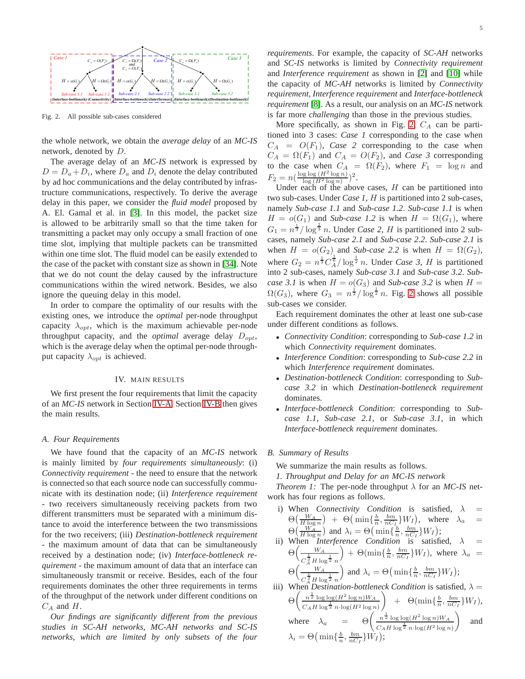

<span id="page-4-3"></span>Fig. 2. All possible sub-cases considered

the whole network, we obtain the *average delay* of an *MC-IS* network, denoted by D.

The average delay of an *MC-IS* network is expressed by  $D = D_a + D_i$ , where  $D_a$  and  $D_i$  denote the delay contributed by ad hoc communications and the delay contributed by infrastructure communications, respectively. To derive the average delay in this paper, we consider the *fluid model* proposed by A. El. Gamal et al. in [\[3\]](#page-13-2). In this model, the packet size is allowed to be arbitrarily small so that the time taken for transmitting a packet may only occupy a small fraction of one time slot, implying that multiple packets can be transmitted within one time slot. The fluid model can be easily extended to the case of the packet with constant size as shown in [\[34\]](#page-14-14). Note that we do not count the delay caused by the infrastructure communications within the wired network. Besides, we also ignore the queuing delay in this model.

In order to compare the optimality of our results with the existing ones, we introduce the *optimal* per-node throughput capacity  $\lambda_{\text{opt}}$ , which is the maximum achievable per-node throughput capacity, and the *optimal* average delay  $D_{opt}$ , which is the average delay when the optimal per-node throughput capacity  $\lambda_{opt}$  is achieved.

#### IV. MAIN RESULTS

<span id="page-4-0"></span>We first present the four requirements that limit the capacity of an *MC-IS* network in Section [IV-A.](#page-4-1) Section [IV-B](#page-4-2) then gives the main results.

# <span id="page-4-1"></span>*A. Four Requirements*

We have found that the capacity of an *MC-IS* network is mainly limited by *four requirements simultaneously*: (i) *Connectivity requirement* - the need to ensure that the network is connected so that each source node can successfully communicate with its destination node; (ii) *Interference requirement* - two receivers simultaneously receiving packets from two different transmitters must be separated with a minimum distance to avoid the interference between the two transmissions for the two receivers; (iii) *Destination-bottleneck requirement* - the maximum amount of data that can be simultaneously received by a destination node; (iv) *Interface-bottleneck requirement* - the maximum amount of data that an interface can simultaneously transmit or receive. Besides, each of the four requirements dominates the other three requirements in terms of the throughput of the network under different conditions on  $C_A$  and H.

*Our findings are significantly different from the previous studies in SC-AH networks, MC-AH networks and SC-IS networks, which are limited by only subsets of the four* 5

and *SC-IS* networks is limited by *Connectivity requirement* and *Interference requirement* as shown in [\[2\]](#page-13-1) and [\[10\]](#page-13-6) while the capacity of *MC-AH* networks is limited by *Connectivity requirement*, *Interference requirement* and *Interface-bottleneck requirement* [\[8\]](#page-13-5). As a result, our analysis on an *MC-IS* network is far more *challenging* than those in the previous studies.

More specifically, as shown in Fig. [2,](#page-4-3)  $C_A$  can be partitioned into 3 cases: *Case 1* corresponding to the case when  $C_A = O(F_1)$ , *Case 2* corresponding to the case when  $C_A = \Omega(F_1)$  and  $C_A = O(F_2)$ , and *Case 3* corresponding to the case when  $C_A = \Omega(F_2)$ , where  $F_1 = \log n$  and  $F_2 = n(\frac{\log \log (H^2 \log n)}{\log (H^2 \log n)})^2.$ 

Under each of the above cases,  $H$  can be partitioned into two sub-cases. Under *Case 1*, H is partitioned into 2 sub-cases, namely *Sub-case 1.1* and *Sub-case 1.2*. *Sub-case 1.1* is when  $H = o(G_1)$  and *Sub-case 1.2* is when  $H = \Omega(G_1)$ , where  $G_1 = n^{\frac{1}{3}} / \log^{\frac{2}{3}} n$ . Under *Case 2*, *H* is partitioned into 2 subcases, namely *Sub-case 2.1* and *Sub-case 2.2*. *Sub-case 2.1* is when  $H = o(G_2)$  and *Sub-case 2.2* is when  $H = \Omega(G_2)$ , where  $G_2 = n^{\frac{1}{3}}C_A^{\frac{1}{6}}/\log^{\frac{1}{2}} n$ . Under *Case 3*, *H* is partitioned into 2 sub-cases, namely *Sub-case 3.1* and *Sub-case 3.2*. *Subcase 3.1* is when  $H = o(G_3)$  and *Sub-case 3.2* is when  $H =$  $\Omega(G_3)$ , where  $G_3 = n^{\frac{1}{2}} / \log^{\frac{1}{2}} n$ . Fig. [2](#page-4-3) shows all possible sub-cases we consider.

Each requirement dominates the other at least one sub-case under different conditions as follows.

- *Connectivity Condition*: corresponding to *Sub-case 1.2* in which *Connectivity requirement* dominates.
- *Interference Condition*: corresponding to *Sub-case 2.2* in which *Interference requirement* dominates.
- *Destination-bottleneck Condition*: corresponding to *Subcase 3.2* in which *Destination-bottleneck requirement* dominates.
- *Interface-bottleneck Condition*: corresponding to *Subcase 1.1*, *Sub-case 2.1*, or *Sub-case 3.1*, in which *Interface-bottleneck requirement* dominates.

## <span id="page-4-2"></span>*B. Summary of Results*

We summarize the main results as follows.

<span id="page-4-4"></span>*1. Throughput and Delay for an MC-IS network*

*Theorem 1:* The per-node throughput  $\lambda$  for an *MC-IS* network has four regions as follows.

- i) When *Connectivity Condition* is satisfied,  $\lambda$  $\Theta\left(\frac{W_A}{H \log n}\right) + \Theta\left(\min\{\frac{b}{n}, \frac{bm}{nC_I}\}W_I\right)$ , where  $\lambda_a$  =  $\Theta\left(\frac{W_A^2}{H \log n}\right)$  and  $\lambda_i = \Theta\left(\min\{\frac{b}{n}, \frac{bm}{nC_I}\}W_I\right);$
- ii) When *Interference Condition* is satisfied,  $\lambda$  =  $\Theta\left(\frac{W_A}{1}\right)$  $C_A^{\frac{1}{2}}H\log^{\frac{1}{2}}n$  $\Big) + \Theta(\min\{\frac{b}{n},\frac{bm}{nC_I}\}W_I)$ , where  $\lambda_a =$  $\Theta\left(\frac{W_A}{1}\right)$  $C_A^{\frac{1}{2}}H\log^{\frac{1}{2}}n$ and  $\lambda_i = \Theta\left(\min\{\frac{b}{n}, \frac{bm}{nC_I}\}W_I\right);$
- iii) When *Destination-bottleneck Condition* is satisfied,  $\lambda =$  $\Theta\left(\frac{n^{\frac{1}{2}}\log\log(H^2\log n)W_A}{n^2}\right)$  $C_A H \log^{\frac{1}{2}} n \cdot \log(H^2 \log n)$  $\Big\}$  +  $\Theta(\min\{\frac{b}{n},\frac{bm}{nC_I}\}W_I),$ where  $\lambda_a = \Theta\left(\frac{n^{\frac{1}{2}}\log\log(H^2\log n)W_A}{\sum_{i=1}^{\infty} \log\log(H^2\log n)W_A}\right)$  $C_A H \log^{\frac{1}{2}} n \cdot \log(H^2 \log n)$  $\Big)$  and  $\lambda_i = \Theta\left(\min\{\frac{b}{n}, \frac{bm}{nC_I}\}W_I\right)$  $\big)$ ;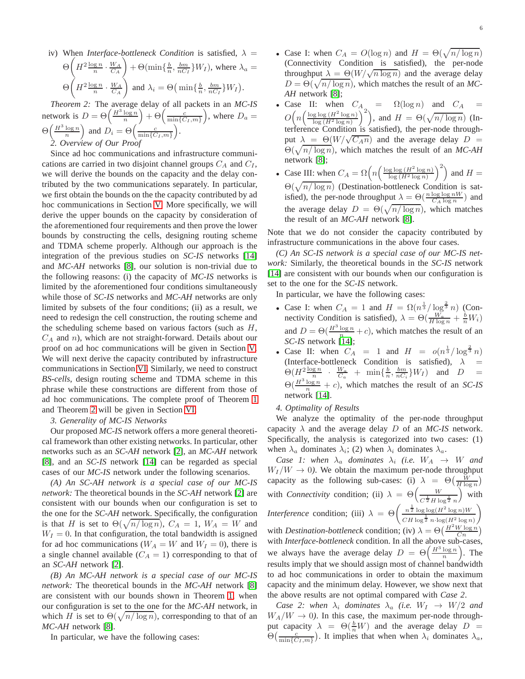iv) When *Interface-bottleneck Condition* is satisfied, 
$$
\lambda = \Theta\left(H^2 \frac{\log n}{n} \cdot \frac{WA}{CA}\right) + \Theta(\min\{\frac{b}{n}, \frac{bm}{nC_I}\}W_I)
$$
, where  $\lambda_a = \Theta\left(H^2 \frac{\log n}{n} \cdot \frac{WA}{CA}\right)$  and  $\lambda_i = \Theta\left(\min\{\frac{b}{n}, \frac{bm}{nC_I}\}W_I\right)$ .

<span id="page-5-0"></span>*Theorem 2:* The average delay of all packets in an *MC-IS* network is  $D = \Theta\left(\frac{H^3 \log n}{n}\right) + \Theta\left(\frac{c}{\min\{C_I, m\}}\right)$ ), where  $D_a =$  $\Theta\left(\frac{H^3 \log n}{n}\right)$  and  $D_i = \Theta\left(\frac{c}{\min\{C_I, m\}}\right)$  . *2. Overview of Our Proof*

Since ad hoc communications and infrastructure communications are carried in two disjoint channel groups  $C_A$  and  $C_I$ , we will derive the bounds on the capacity and the delay contributed by the two communications separately. In particular, we first obtain the bounds on the the capacity contributed by ad hoc communications in Section [V.](#page-6-0) More specifically, we will derive the upper bounds on the capacity by consideration of the aforementioned four requirements and then prove the lower bounds by constructing the cells, designing routing scheme and TDMA scheme properly. Although our approach is the integration of the previous studies on *SC-IS* networks [\[14\]](#page-13-7) and *MC-AH* networks [\[8\]](#page-13-5), our solution is non-trivial due to the following reasons: (i) the capacity of *MC-IS* networks is limited by the aforementioned four conditions simultaneously while those of *SC-IS* networks and *MC-AH* networks are only limited by subsets of the four conditions; (ii) as a result, we need to redesign the cell construction, the routing scheme and the scheduling scheme based on various factors (such as H,  $C_A$  and n), which are not straight-forward. Details about our proof on ad hoc communications will be given in Section [V.](#page-6-0) We will next derive the capacity contributed by infrastructure communications in Section [VI.](#page-9-0) Similarly, we need to construct *BS-cells*, design routing scheme and TDMA scheme in this phrase while these constructions are different from those of ad hoc communications. The complete proof of Theorem [1](#page-4-4) and Theorem [2](#page-5-0) will be given in Section [VI.](#page-9-0)

#### *3. Generality of MC-IS Networks*

Our proposed *MC-IS* network offers a more general theoretical framework than other existing networks. In particular, other networks such as an *SC-AH* network [\[2\]](#page-13-1), an *MC-AH* network [\[8\]](#page-13-5), and an *SC-IS* network [\[14\]](#page-13-7) can be regarded as special cases of our *MC-IS* network under the following scenarios.

*(A) An SC-AH network is a special case of our MC-IS network:* The theoretical bounds in the *SC-AH* network [\[2\]](#page-13-1) are consistent with our bounds when our configuration is set to the one for the *SC-AH* network. Specifically, the configuration is that H is set to  $\Theta(\sqrt{n/\log n})$ ,  $C_A = 1$ ,  $W_A = W$  and  $W_I = 0$ . In that configuration, the total bandwidth is assigned for ad hoc communications ( $W_A = W$  and  $W_I = 0$ ), there is a single channel available  $(C_A = 1)$  corresponding to that of an *SC-AH* network [\[2\]](#page-13-1).

*(B) An MC-AH network is a special case of our MC-IS network:* The theoretical bounds in the *MC-AH* network [\[8\]](#page-13-5) are consistent with our bounds shown in Theorem [1,](#page-4-4) when our configuration is set to the one for the *MC-AH* network, in which H is set to  $\Theta(\sqrt{n/\log n})$ , corresponding to that of an *MC-AH* network [\[8\]](#page-13-5).

In particular, we have the following cases:

- Case I: when  $C_A = O(\log n)$  and  $H = \Theta(\sqrt{n/\log n})$ (Connectivity Condition is satisfied), the per-node throughput  $\lambda = \Theta(W/\sqrt{n \log n})$  and the average delay  $D = \Theta(\sqrt{n/\log n})$ , which matches the result of an *MC*-*AH* network [\[8\]](#page-13-5);
- Case II: when  $C_{A_{\alpha}} = \Omega(\log n)$  and  $C_{A_{\alpha}} =$  $O\Big(n\Big(\frac{\log\log(H^2\log n)}{\log(H^2\log n)}\Big)^2\Big)$ , and  $H = \Theta(\sqrt{n/\log n})$  (Interference Condition is satisfied), the per-node throughput  $\lambda = \Theta(W/\sqrt{C_A n})$  and the average delay  $D =$  $\Theta(\sqrt{n/\log n})$ , which matches the result of an *MC-AH* network [\[8\]](#page-13-5);
- Case III: when  $C_A = \Omega \Big( n \Big( \frac{\log \log (H^2 \log n)}{\log (H^2 \log n)} \Big)^2 \Big)$  and  $H =$  $\Theta(\sqrt{n/\log n})$  (Destination-bottleneck Condition is satisfied), the per-node throughput  $\lambda = \Theta(\frac{n \log \log nW}{C_A \log n})$  and the average delay  $D = \Theta(\sqrt{n/\log n})$ , which matches the result of an *MC-AH* network [\[8\]](#page-13-5).

Note that we do not consider the capacity contributed by infrastructure communications in the above four cases.

*(C) An SC-IS network is a special case of our MC-IS network:* Similarly, the theoretical bounds in the *SC-IS* network [\[14\]](#page-13-7) are consistent with our bounds when our configuration is set to the one for the *SC-IS* network.

In particular, we have the following cases:

- Case I: when  $C_A = 1$  and  $H = \Omega(n^{\frac{1}{3}}/\log^{\frac{2}{3}} n)$  (Connectivity Condition is satisfied),  $\lambda = \Theta(\frac{W_a}{H \log n} + \frac{b}{n}W_i)$ and  $D = \Theta(\frac{H^3 \log n}{n} + c)$ , which matches the result of an *SC-IS* network [\[14\]](#page-13-7);
- Case II: when  $C_A = 1$  and  $H = o(n^{\frac{1}{3}}/\log^{\frac{2}{3}} n)$ (Interface-bottleneck Condition is satisfied),  $\lambda$  =  $\Theta(H^2_{\frac{\log n}{n}} \cdot \frac{W_a}{C_a} + \min\{\frac{b}{n},\frac{bm}{nC_i}\}W_I)$  and  $D =$  $\Theta(\frac{H^3 \log n}{n} + c)$ , which matches the result of an *SC-IS* network [\[14\]](#page-13-7).

## *4. Optimality of Results*

We analyze the optimality of the per-node throughput capacity  $\lambda$  and the average delay  $D$  of an *MC-IS* network. Specifically, the analysis is categorized into two cases: (1) when  $\lambda_a$  dominates  $\lambda_i$ ; (2) when  $\lambda_i$  dominates  $\lambda_a$ .

*Case 1: when*  $\lambda_a$  *dominates*  $\lambda_i$  *(i.e.*  $W_A \rightarrow W$  *and*  $W_I/W \to 0$ ). We obtain the maximum per-node throughput capacity as the following sub-cases: (i)  $\lambda = \Theta\left(\frac{W}{H \log n}\right)$ with *Connectivity* condition; (ii)  $\lambda = \Theta\left(\frac{W}{m^2 + 1}\right)$  $C^{\frac{1}{2}}H\log^{\frac{1}{2}}n$  with *Interference* condition; (iii)  $\lambda = \Theta\left(\frac{n^{\frac{1}{2}} \log \log(H^2 \log n)W}{\sigma w \log \frac{1}{n}}\right)$  $CH \log^{\frac{1}{2}} n \cdot \log(H^2 \log n)$  $\setminus$ with *Destination-bottleneck* condition; (iv)  $\lambda = \Theta\left(\frac{H^2 W \log n}{Cn}\right)$ with *Interface-bottleneck* condition. In all the above sub-cases, we always have the average delay  $D = \Theta\left(\frac{H^3 \log n}{n}\right)$ . The results imply that we should assign most of channel bandwidth to ad hoc communications in order to obtain the maximum capacity and the minimum delay. However, we show next that the above results are not optimal compared with *Case 2*.

*Case 2: when*  $\lambda_i$  *dominates*  $\lambda_a$  *(i.e.*  $W_I \rightarrow W/2$  *and*  $W_A/W \to 0$ ). In this case, the maximum per-node throughput capacity  $\lambda = \Theta(\frac{b}{n}W)$  and the average delay  $D =$  $\Theta\left(\frac{c}{\min\{C_I, m\}}\right)$ . It implies that when when  $\lambda_i$  dominates  $\lambda_a$ ,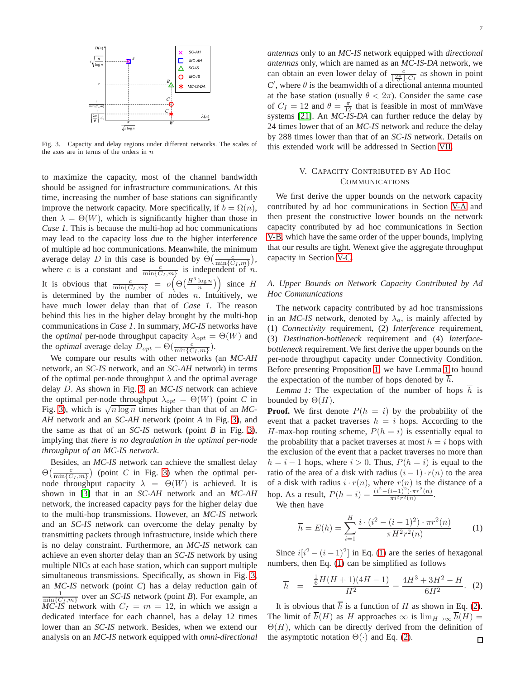

<span id="page-6-1"></span>Fig. 3. Capacity and delay regions under different networks. The scales of the axes are in terms of the orders in  $n$ 

to maximize the capacity, most of the channel bandwidth should be assigned for infrastructure communications. At this time, increasing the number of base stations can significantly improve the network capacity. More specifically, if  $b = \Omega(n)$ , then  $\lambda = \Theta(W)$ , which is significantly higher than those in *Case 1*. This is because the multi-hop ad hoc communications may lead to the capacity loss due to the higher interference of multiple ad hoc communications. Meanwhile, the minimum average delay D in this case is bounded by  $\Theta\left(\frac{c}{\min\{C_I,m\}}\right)$ , where c is a constant and  $\frac{c}{\min\{C_I, m\}}$  is independent of n. It is obvious that  $\frac{c}{\min\{C_I, m\}} = o\left(\Theta\left(\frac{H^3 \log n}{n}\right)\right)$  since H is determined by the number of nodes  $n$ . Intuitively, we have much lower delay than that of *Case 1*. The reason behind this lies in the higher delay brought by the multi-hop communications in *Case 1*. In summary, *MC-IS* networks have the *optimal* per-node throughput capacity  $\lambda_{opt} = \Theta(W)$  and the *optimal* average delay  $D_{opt} = \Theta(\frac{c}{\min\{C_I, m\}})$ .

We compare our results with other networks (an *MC-AH* network, an *SC-IS* network, and an *SC-AH* network) in terms of the optimal per-node throughput  $\lambda$  and the optimal average delay D. As shown in Fig. [3,](#page-6-1) an *MC-IS* network can achieve the optimal per-node throughput  $\lambda_{opt} = \Theta(W)$  (point *C* in Fig. [3\)](#page-6-1), which is  $\sqrt{n \log n}$  times higher than that of an *MC*-*AH* network and an *SC-AH* network (point *A* in Fig. [3\)](#page-6-1), and the same as that of an *SC-IS* network (point *B* in Fig. [3\)](#page-6-1), implying that *there is no degradation in the optimal per-node throughput of an MC-IS network*.

Besides, an *MC-IS* network can achieve the smallest delay  $\Theta\left(\frac{c}{\min\{C_I, m\}}\right)$  (point *C* in Fig. [3\)](#page-6-1) when the optimal pernode throughput capacity  $\lambda = \Theta(W)$  is achieved. It is shown in [\[3\]](#page-13-2) that in an *SC-AH* network and an *MC-AH* network, the increased capacity pays for the higher delay due to the multi-hop transmissions. However, an *MC-IS* network and an *SC-IS* network can overcome the delay penalty by transmitting packets through infrastructure, inside which there is no delay constraint. Furthermore, an *MC-IS* network can achieve an even shorter delay than an *SC-IS* network by using multiple NICs at each base station, which can support multiple simultaneous transmissions. Specifically, as shown in Fig. [3,](#page-6-1) an *MC-IS* network (point *C*) has a delay reduction gain of  $\frac{1}{\min\{C_I, m\}}$  over an *SC-IS* network (point *B*). For example, an  $MC$ -IS network with  $C_I = m = 12$ , in which we assign a dedicated interface for each channel, has a delay 12 times lower than an *SC-IS* network. Besides, when we extend our analysis on an *MC-IS* network equipped with *omni-directional*

*antennas* only to an *MC-IS* network equipped with *directional antennas* only, which are named as an *MC-IS-DA* network, we can obtain an even lower delay of  $\frac{c}{\lfloor \frac{2\pi}{\theta} \rfloor \cdot C_I}$  as shown in point  $C'$ , where  $\theta$  is the beamwidth of a directional antenna mounted at the base station (usually  $\theta < 2\pi$ ). Consider the same case of  $C_I = 12$  and  $\theta = \frac{\pi}{12}$  that is feasible in most of mmWave systems [\[21\]](#page-14-5). An *MC-IS-DA* can further reduce the delay by 24 times lower that of an *MC-IS* network and reduce the delay by 288 times lower than that of an *SC-IS* network. Details on this extended work will be addressed in Section [VII.](#page-10-0)

## <span id="page-6-0"></span>V. CAPACITY CONTRIBUTED BY AD HOC COMMUNICATIONS

We first derive the upper bounds on the network capacity contributed by ad hoc communications in Section [V-A](#page-6-2) and then present the constructive lower bounds on the network capacity contributed by ad hoc communications in Section [V-B,](#page-7-0) which have the same order of the upper bounds, implying that our results are tight. Wenext give the aggregate throughput capacity in Section [V-C.](#page-9-1)

## <span id="page-6-2"></span>*A. Upper Bounds on Network Capacity Contributed by Ad Hoc Communications*

The network capacity contributed by ad hoc transmissions in an *MC-IS* network, denoted by  $\lambda_a$ , is mainly affected by (1) *Connectivity* requirement, (2) *Interference* requirement, (3) *Destination-bottleneck* requirement and (4) *Interfacebottleneck* requirement. We first derive the upper bounds on the per-node throughput capacity under Connectivity Condition. Before presenting Proposition [1,](#page-7-1) we have Lemma [1](#page-6-3) to bound the expectation of the number of hops denoted by  $h$ .

<span id="page-6-3"></span>*Lemma 1:* The expectation of the number of hops  $\overline{h}$  is bounded by  $\Theta(H)$ .

**Proof.** We first denote  $P(h = i)$  by the probability of the event that a packet traverses  $h = i$  hops. According to the H-max-hop routing scheme,  $P(h = i)$  is essentially equal to the probability that a packet traverses at most  $h = i$  hops with the exclusion of the event that a packet traverses no more than  $h = i - 1$  hops, where  $i > 0$ . Thus,  $P(h = i)$  is equal to the ratio of the area of a disk with radius  $(i-1)\cdot r(n)$  to the area of a disk with radius  $i \cdot r(n)$ , where  $r(n)$  is the distance of a hop. As a result,  $P(h = i) = \frac{(i^2 - (i-1)^2) \cdot \pi r^2(n)}{\pi i^2 r^2(n)}$ .

We then have

<span id="page-6-4"></span>
$$
\overline{h} = E(h) = \sum_{i=1}^{H} \frac{i \cdot (i^2 - (i-1)^2) \cdot \pi r^2(n)}{\pi H^2 r^2(n)}
$$
(1)

Since  $i[i^2 - (i-1)^2]$  in Eq. [\(1\)](#page-6-4) are the series of hexagonal numbers, then Eq. [\(1\)](#page-6-4) can be simplified as follows

<span id="page-6-5"></span>
$$
\overline{h} = \frac{\frac{1}{6}H(H+1)(4H-1)}{H^2} = \frac{4H^3 + 3H^2 - H}{6H^2}.
$$
 (2)

It is obvious that  $\overline{h}$  is a function of H as shown in Eq. [\(2\)](#page-6-5). The limit of  $\overline{h}(H)$  as H approaches  $\infty$  is  $\lim_{H\to\infty} \overline{h}(H) =$  $\Theta(H)$ , which can be directly derived from the definition of the asymptotic notation  $\Theta(\cdot)$  and Eq. [\(2\)](#page-6-5).  $\Box$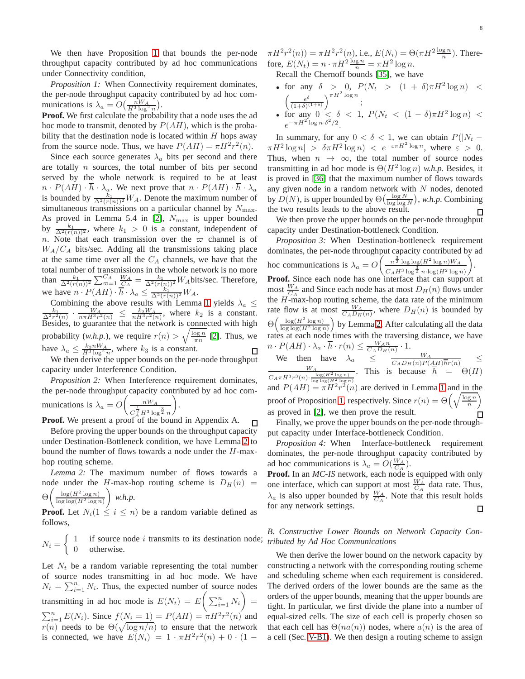We then have Proposition [1](#page-7-1) that bounds the per-node throughput capacity contributed by ad hoc communications under Connectivity condition,

<span id="page-7-1"></span>*Proposition 1:* When Connectivity requirement dominates, the per-node throughput capacity contributed by ad hoc communications is  $\lambda_a = O\left(\frac{nW_A}{H^3 \log^2 n}\right)$ .

**Proof.** We first calculate the probability that a node uses the ad hoc mode to transmit, denoted by  $P(AH)$ , which is the probability that the destination node is located within  $H$  hops away from the source node. Thus, we have  $P(AH) = \pi H^2 r^2(n)$ .

Since each source generates  $\lambda_a$  bits per second and there are totally  $n$  sources, the total number of bits per second served by the whole network is required to be at least  $n \cdot P(AH) \cdot \overline{h} \cdot \lambda_a$ . We next prove that  $n \cdot P(AH) \cdot \overline{h} \cdot \lambda_a$ is bounded by  $\frac{k_1}{\Delta^2 (r(n))^2} W_A$ . Denote the maximum number of simultaneous transmissions on a particular channel by  $N_{\text{max}}$ . As proved in Lemma 5.4 in [\[2\]](#page-13-1),  $N_{\text{max}}$  is upper bounded by  $\frac{k_1}{\Delta^2(r(n))^2}$ , where  $k_1 > 0$  is a constant, independent of n. Note that each transmission over the  $\varpi$  channel is of  $W_A/C_A$  bits/sec. Adding all the transmissions taking place at the same time over all the  $C_A$  channels, we have that the total number of transmissions in the whole network is no more than  $\frac{k_1}{\Delta^2(r(n))^2} \sum_{\infty=1}^C \frac{W_A}{C_A} = \frac{k_1}{\Delta^2(r(n))^2} W_A$ bits/sec. Therefore, we have  $n \cdot P(AH) \cdot \overline{h} \cdot \lambda_a \leq \frac{k_1}{\Delta^2 (r(n))^2} W_A$ .

Combining the above results with Lemma [1](#page-6-3) yields  $\lambda_a \leq \frac{k_1}{\Delta^2 r^2(n)} \cdot \frac{W_A}{n \pi H^3 r^2(n)} \leq \frac{k_2 W_A}{n H^3 r^2(n)}$ , where  $k_2$  is a constant. Besides, to guarantee that the network is connected with high probability (*w.h.p.*), we require  $r(n) > \sqrt{\frac{\log n}{\pi n}}$  [\[2\]](#page-13-1). Thus, we have  $\lambda_a \leq \frac{k_3 n W_A}{H^3 \log^2 n}$ , where  $k_3$  is a constant.

We then derive the upper bounds on the per-node throughput capacity under Interference Condition.

*Proposition 2:* When Interference requirement dominates, the per-node throughput capacity contributed by ad hoc communications is  $\lambda_a = O\left(\frac{n_{WA}}{1\right)$  $C_A^{\tfrac{1}{2}}H^3\log^{\tfrac{3}{2}}n$ .

**Proof.** We present a proof of the bound in Appendix A.

 $\Box$ Before proving the upper bounds on the throughput capacity under Destination-Bottleneck condition, we have Lemma [2](#page-7-2) to bound the number of flows towards a node under the H-maxhop routing scheme.

<span id="page-7-2"></span>*Lemma 2:* The maximum number of flows towards a node under the H-max-hop routing scheme is  $D_H(n)$  =  $\Theta\left(\frac{\log(H^2\log n)}{\log\log(H^2\log n)}\right)$  $\setminus$ *w.h.p.*

**Proof.** Let  $N_i(1 \leq i \leq n)$  be a random variable defined as follows,

 $N_i = \begin{cases} 1 & \text{if source node } i \text{ transmits to its destination node;} \\ 0 & \text{otherwise.} \end{cases}$ 0 otherwise.

Let  $N_t$  be a random variable representing the total number of source nodes transmitting in ad hoc mode. We have  $N_t = \sum_{i=1}^n N_i$ . Thus, the expected number of source nodes transmitting in ad hoc mode is  $E(N_t) = E\left(\sum_{i=1}^n N_i\right) =$  $\sum_{i=1}^{n} E(N_i)$ . Since  $f(N_i = 1) = P(AH) = \pi H^2 r^2(n)$  and  $r(n)$  needs to be  $\Theta(\sqrt{\log n/n})$  to ensure that the network is connected, we have  $E(N_i) = 1 \cdot \pi H^2 r^2(n) + 0 \cdot (1 -$ 

 $\pi H^2 r^2(n) = \pi H^2 r^2(n)$ , i.e.,  $E(N_i) = \Theta(\pi H^2 \frac{\log n}{n})$ . Therefore,  $E(N_t) = n \cdot \pi H^2 \frac{\log n}{n} = \pi H^2 \log n$ .

Recall the Chernoff bounds [\[35\]](#page-14-15), we have

- for any  $\delta > 0$ ,  $P(N_t > (1 + \delta)\pi H^2 \log n) <$  $\left( \frac{e^{\delta}}{e} \right)$  $\frac{e^{\delta}}{(1+\delta)^{(1+\delta)}}\Big)^{\pi H^2 \log n};$
- for any  $0 \le \delta < 1$ ,  $P(N_t < (1 \delta) \pi H^2 \log n) <$  $e^{-\pi H^2 \log n \cdot \delta^2/2}.$

In summary, for any  $0 < \delta < 1$ , we can obtain  $P(|N_t \pi H^2 \log n$  >  $\delta \pi H^2 \log n$  <  $e^{-\varepsilon \pi H^2 \log n}$ , where  $\varepsilon > 0$ . Thus, when  $n \to \infty$ , the total number of source nodes transmitting in ad hoc mode is  $\Theta(H^2 \log n)$  *w.h.p.* Besides, it is proved in [\[36\]](#page-14-16) that the maximum number of flows towards any given node in a random network with  $N$  nodes, denoted by  $D(N)$ , is upper bounded by  $\Theta\left(\frac{\log N}{\log \log N}\right)$ , *w.h.p.* Combining the two results leads to the above result.

<span id="page-7-4"></span>We then prove the upper bounds on the per-node throughput capacity under Destination-bottleneck Condition.

*Proposition 3:* When Destination-bottleneck requirement dominates, the per-node throughput capacity contributed by ad hoc communications is  $\lambda_a = O\left(\frac{n^{\frac{3}{2}} \log \log(H^2 \log n)W_A}{\sigma^2 \log \log(H^2 \log n)}\right)$  $C_A H^3 \log^{\frac{3}{2}} n \cdot \log(H^2 \log n)$  $\setminus$ . Proof. Since each node has one interface that can support at most  $\frac{W_A}{C_A}$  and Since each node has at most  $D_H(n)$  flows under

the  $H$ -max-hop routing scheme, the data rate of the minimum rate flow is at most  $\frac{W_A}{C_A D_H(n)}$ , where  $D_H(n)$  is bounded by  $\Theta\left(\frac{\log(H^2\log n)}{\log\log(H^2\log n)}\right)$  by Lemma [2.](#page-7-2) After calculating all the data rates at each node times with the traversing distance, we have  $n \cdot P(AH) \cdot \lambda_a \cdot \overline{h} \cdot r(n) \leq \frac{W_{A}n}{C_A D_H(n)} \cdot 1.$ 

<span id="page-7-3"></span>We then have  $\lambda_a \leq \frac{W_A}{C_A D_H(n) P(A)}$ of the  $\lambda_a \leq \frac{C_A D_H(n) P(A H) \overline{h} r(n)}{C_A D_H(n) P(A H) \overline{h} r(n)} \leq$ <br>W<sub>A</sub> This is because  $\overline{h} = \Theta(H)$  $C_A \pi H^3 r^3(n) \cdot \frac{\log(H^2 \log n)}{\log \log(H^2 \log n)}$ . This is because  $h = \Theta(H)$ and  $P(AH) = \pi H^2 r^2(n)$  are derived in Lemma [1](#page-6-3) and in the proof of Proposition [1,](#page-7-1) respectively. Since  $r(n) = \Theta\left(\sqrt{\frac{\log n}{n}}\right)$  $\setminus$ as proved in [\[2\]](#page-13-1), we then prove the result.

Finally, we prove the upper bounds on the per-node throughput capacity under Interface-bottleneck Condition.

*Proposition 4:* When Interface-bottleneck requirement dominates, the per-node throughput capacity contributed by ad hoc communications is  $\lambda_a = O(\frac{W_A}{C_A})$ . **Proof.** In an *MC-IS* network, each node is equipped with only

one interface, which can support at most  $\frac{W_A}{C_A}$  data rate. Thus,  $\lambda_a$  is also upper bounded by  $\frac{W_A}{C_A}$ . Note that this result holds for any network settings.  $\Box$ 

## <span id="page-7-0"></span>*B. Constructive Lower Bounds on Network Capacity Contributed by Ad Hoc Communications*

We then derive the lower bound on the network capacity by constructing a network with the corresponding routing scheme and scheduling scheme when each requirement is considered. The derived orders of the lower bounds are the same as the orders of the upper bounds, meaning that the upper bounds are tight. In particular, we first divide the plane into a number of equal-sized cells. The size of each cell is properly chosen so that each cell has  $\Theta(na(n))$  nodes, where  $a(n)$  is the area of a cell (Sec. [V-B1\)](#page-8-0). We then design a routing scheme to assign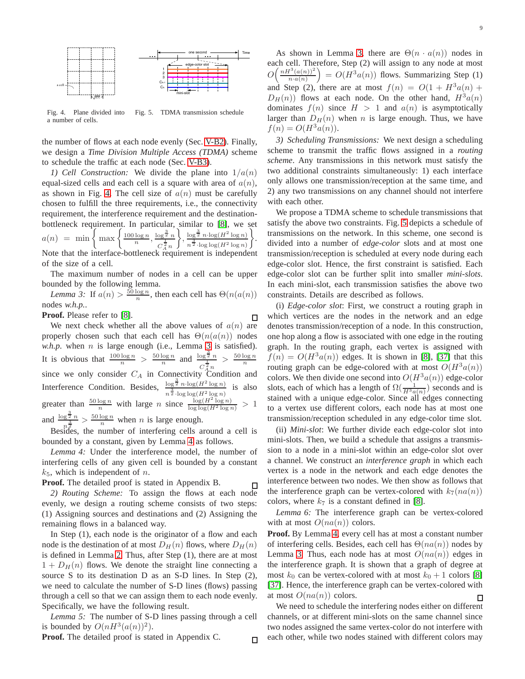

<span id="page-8-3"></span>Fig. 4. Plane divided into a number of cells. Fig. 5. TDMA transmission schedule

the number of flows at each node evenly (Sec. [V-B2\)](#page-8-1). Finally, we design a *Time Division Multiple Access (TDMA)* scheme to schedule the traffic at each node (Sec. [V-B3\)](#page-8-2).

<span id="page-8-0"></span>*1) Cell Construction:* We divide the plane into  $1/a(n)$ equal-sized cells and each cell is a square with area of  $a(n)$ , as shown in Fig. [4.](#page-8-3) The cell size of  $a(n)$  must be carefully chosen to fulfill the three requirements, i.e., the connectivity requirement, the interference requirement and the destinationbottleneck requirement. In particular, similar to [\[8\]](#page-13-5), we set  $a(n) = \min \left\{ \max \left\{ \frac{100 \log n}{n}, \frac{\log^{\frac{3}{2}} n}{\sqrt{\frac{1}{2}}} \right\}$  $C_A^{\frac{1}{2}}n$  $\left\}, \frac{\log^{\frac{3}{2}} n \cdot \log(H^2 \log n)}{\frac{3}{2} \cdot \log(1/n^2 \log n)}\right\}$  $n^{\frac{3}{2}}\cdot \log\log(H^2\log n)$  $\big\}$ . Note that the interface-bottleneck requirement is independent of the size of a cell.

The maximum number of nodes in a cell can be upper bounded by the following lemma.

*Lemma 3:* If  $a(n) > \frac{50 \log n}{n}$ , then each cell has  $\Theta(n(a(n)))$ nodes *w.h.p.*.

**Proof.** Please refer to [\[8\]](#page-13-5).

 $\Box$ We next check whether all the above values of  $a(n)$  are properly chosen such that each cell has  $\Theta(n(a(n)))$  nodes *w.h.p.* when  $n$  is large enough (i.e., Lemma [3](#page-8-4) is satisfied). It is obvious that  $\frac{100 \log n}{n} > \frac{50 \log n}{n}$  and  $\frac{\log^{\frac{3}{2}} n}{\log^{\frac{1}{2}}}$  $> \frac{50 \log n}{n}$  $C_{A}^{\frac{1}{2}}n$ since we only consider  $C_A$  in Connectivity Condition and Interference Condition. Besides,  $\frac{\log^{\frac{3}{2}} n \cdot \log(H^2 \log n)}{\frac{3}{2} \cdot \log(n \cdot \log(n))}$ is also  $n^{\frac{3}{2}}\cdot \log\log(H^2\log n)$ greater than  $\frac{50 \log n}{n}$  with large *n* since  $\frac{\log(H^2 \log n)}{\log \log(H^2 \log n)} > 1$ and  $\frac{\log \overline{2}n}{n} > \frac{50 \log n}{n}$  when *n* is large enough.

Besides, the number of interfering cells around a cell is bounded by a constant, given by Lemma [4](#page-8-5) as follows.

*Lemma 4:* Under the interference model, the number of interfering cells of any given cell is bounded by a constant  $k_5$ , which is independent of n.

<span id="page-8-1"></span>**Proof.** The detailed proof is stated in Appendix B.

*2) Routing Scheme:* To assign the flows at each node evenly, we design a routing scheme consists of two steps: (1) Assigning sources and destinations and (2) Assigning the remaining flows in a balanced way.

In Step (1), each node is the originator of a flow and each node is the destination of at most  $D_H(n)$  flows, where  $D_H(n)$ is defined in Lemma [2.](#page-7-2) Thus, after Step (1), there are at most  $1 + D_H(n)$  flows. We denote the straight line connecting a source S to its destination D as an S-D lines. In Step (2), we need to calculate the number of S-D lines (flows) passing through a cell so that we can assign them to each node evenly. Specifically, we have the following result.

<span id="page-8-7"></span>*Lemma 5:* The number of S-D lines passing through a cell is bounded by  $O(nH^3(a(n))^2)$ .

**Proof.** The detailed proof is stated in Appendix C.

As shown in Lemma [3,](#page-8-4) there are  $\Theta(n \cdot a(n))$  nodes in each cell. Therefore, Step (2) will assign to any node at most  $O\left(\frac{nH^3(a(n))^2}{n\cdot a(n)}\right)$  $n \cdot a(n)$  $= O(H^3a(n))$  flows. Summarizing Step (1) and Step (2), there are at most  $f(n) = O(1 + H^3 a(n) +$  $D_H(n)$  flows at each node. On the other hand,  $H^3 a(n)$ dominates  $f(n)$  since  $H > 1$  and  $a(n)$  is asymptotically larger than  $D_H(n)$  when n is large enough. Thus, we have  $f(n) = O(H^3a(n)).$ 

<span id="page-8-6"></span><span id="page-8-2"></span>*3) Scheduling Transmissions:* We next design a scheduling scheme to transmit the traffic flows assigned in a *routing scheme*. Any transmissions in this network must satisfy the two additional constraints simultaneously: 1) each interface only allows one transmission/reception at the same time, and 2) any two transmissions on any channel should not interfere with each other.

We propose a TDMA scheme to schedule transmissions that satisfy the above two constraints. Fig. [5](#page-8-6) depicts a schedule of transmissions on the network. In this scheme, one second is divided into a number of *edge-color* slots and at most one transmission/reception is scheduled at every node during each edge-color slot. Hence, the first constraint is satisfied. Each edge-color slot can be further split into smaller *mini-slots*. In each mini-slot, each transmission satisfies the above two constraints. Details are described as follows.

<span id="page-8-4"></span>(i) *Edge-color slot*: First, we construct a routing graph in which vertices are the nodes in the network and an edge denotes transmission/reception of a node. In this construction, one hop along a flow is associated with one edge in the routing graph. In the routing graph, each vertex is assigned with  $f(n) = O(H<sup>3</sup>a(n))$  edges. It is shown in [\[8\]](#page-13-5), [\[37\]](#page-14-17) that this routing graph can be edge-colored with at most  $O(H<sup>3</sup>a(n))$ colors. We then divide one second into  $O(H^3a(n))$  edge-color slots, each of which has a length of  $\Omega(\frac{1}{H^3 a(n)})$  seconds and is stained with a unique edge-color. Since all edges connecting to a vertex use different colors, each node has at most one transmission/reception scheduled in any edge-color time slot.

<span id="page-8-5"></span>(ii) *Mini-slot*: We further divide each edge-color slot into mini-slots. Then, we build a schedule that assigns a transmission to a node in a mini-slot within an edge-color slot over a channel. We construct an *interference graph* in which each vertex is a node in the network and each edge denotes the interference between two nodes. We then show as follows that the interference graph can be vertex-colored with  $k_7(na(n))$ colors, where  $k_7$  is a constant defined in [\[8\]](#page-13-5).

*Lemma 6:* The interference graph can be vertex-colored with at most  $O(na(n))$  colors.

**Proof.** By Lemma [4,](#page-8-5) every cell has at most a constant number of interfering cells. Besides, each cell has  $\Theta(na(n))$  nodes by Lemma [3.](#page-8-4) Thus, each node has at most  $O(na(n))$  edges in the interference graph. It is shown that a graph of degree at most  $k_0$  can be vertex-colored with at most  $k_0 + 1$  colors [\[8\]](#page-13-5) [\[37\]](#page-14-17). Hence, the interference graph can be vertex-colored with at most  $O(na(n))$  colors.  $\Box$ 

We need to schedule the interfering nodes either on different channels, or at different mini-slots on the same channel since two nodes assigned the same vertex-color do not interfere with each other, while two nodes stained with different colors may

 $\Box$ 

 $\Box$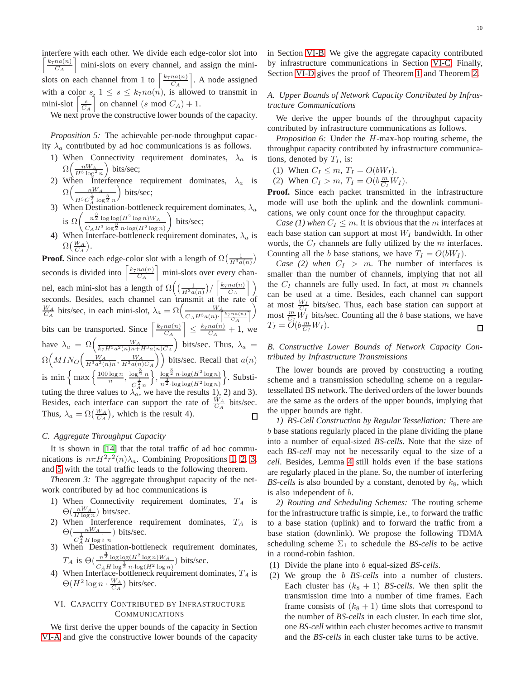interfere with each other. We divide each edge-color slot into l  $k_7na(n)$  $\frac{na(n)}{C_A}$ mini-slots on every channel, and assign the minislots on each channel from 1 to  $\left[\frac{k_7na(n)}{C_A}\right]$  $\frac{na(n)}{C_A}$ . A node assigned with a color  $s, 1 \leq s \leq k_7 n a(n)$ , is allowed to transmit in mini-slot  $\left[\frac{s}{C_A}\right]$  on channel (s mod  $C_A$ ) + 1.

We next prove the constructive lower bounds of the capacity.

<span id="page-9-2"></span>*Proposition 5:* The achievable per-node throughput capacity  $\lambda_a$  contributed by ad hoc communications is as follows.

- 1) When Connectivity requirement dominates,  $\lambda_a$  is  $\Omega\left(\frac{n_{W_A}}{H^3 \log^2 n}\right)$  bits/sec;
- 2) When Interference requirement dominates,  $\lambda_a$  is  $\Omega\left(\frac{nW_A}{1}\right)$  $H^3C_A^{\frac{1}{2}}\log^{\frac{3}{2}}n$ bits/sec;
- 3) When Destination-bottleneck requirement dominates,  $\lambda_a$ is  $\Omega\left(\frac{n^{\frac{3}{2}}\log\log(H^2\log n)W_A}{\log n}\right)$  $C_A H^3 \log^{\frac{3}{2}} n \cdot \log(H^2 \log n)$ bits/sec;
- 4) When Interface-bottleneck requirement dominates,  $\lambda_a$  is  $\Omega\big(\frac{W_A}{C_A}\big).$

**Proof.** Since each edge-color slot with a length of  $\Omega\left(\frac{1}{H^3a(n)}\right)$ seconds is divided into  $\left[\frac{k_7na(n)}{C_A}\right]$  mini-slots over every chan- $C_A$ nel, each mini-slot has a length of  $\Omega\left(\left(\frac{1}{H^3 a(n)}\right) / \left[\frac{k_7 n a(n)}{C_A}\right]\right)$  $\frac{na(n)}{C_A}$ seconds. Besides, each channel can transmit at the rate of  $\frac{W_A}{C_A}$  bits/sec, in each mini-slot,  $\lambda_a = \Omega \Big( \frac{W_A}{C_A H^3 a(n)} \Big)$  $\frac{W_A}{C_A H^3 a(n) \cdot \left\lceil \frac{k_7 n a(n)}{C_A} \right\rceil}$ bits can be transported. Since  $\left[\frac{k_7na(n)}{C_A}\right]$  $\left| \frac{na(n)}{C_A} \right| \leq \frac{k_7na(n)}{C_A}$  $\frac{na(n)}{C_A}+1$ , we have  $\lambda_a = \Omega\left(\frac{W_A}{k_7 H^3 a^2(n) n + H^3 a(n) C_A}\right)$  bits/sec. Thus,  $\lambda_a =$  $\Omega\left(MIN_{O}\left(\frac{W_{A}}{H^{3}a^{2}(n)n}, \frac{W_{A}}{H^{3}a(n)C_{A}}\right)\right)$  bits/sec. Recall that  $a(n)$ 3 3  $\left\}, \frac{\log^{\frac{3}{2}} n \cdot \log(H^2 \log n)}{2} \right\}$ is min  $\left\{\max\left\{\frac{100\log n}{n},\frac{\log^{\frac{3}{2}}n}{\log^{\frac{1}{2}}}\right\}\right\}$  $\}$ . Substi- $C_A^{\frac{1}{2}}n$  $n^{\frac{3}{2}}\cdot \log\log(H^2\log n)$ tuting the three values to  $\lambda_a^{\text{}}$ , we have the results 1), 2) and 3). Besides, each interface can support the rate of  $\frac{W_A}{C_A}$  bits/sec. Thus,  $\lambda_a = \Omega(\frac{W_A}{C_A})$ , which is the result 4). □

#### <span id="page-9-1"></span>*C. Aggregate Throughput Capacity*

It is shown in [\[14\]](#page-13-7) that the total traffic of ad hoc communications is  $n\pi H^2 r^2(n)\lambda_a$ . Combining Propositions [1,](#page-7-1) [2,](#page-7-3) [3,](#page-7-4) and [5](#page-9-2) with the total traffic leads to the following theorem.

*Theorem 3:* The aggregate throughput capacity of the network contributed by ad hoc communications is

- 1) When Connectivity requirement dominates,  $T_A$  is  $\Theta(\frac{nW_A}{H \log n})$  bits/sec.
- 2) When Interference requirement dominates,  $T_A$  is  $\Theta\left(\frac{nW_A}{C_A^{\frac{1}{2}}H\log^{\frac{1}{2}}n}\right)$  bits/sec.
- 3) When Destination-bottleneck requirement dominates,  $T_A$  is  $\Theta\left(\frac{n^{\frac{3}{2}}\log\log(H^2\log n)W_A}{\alpha\right)$  $C_A H \log^{\frac{1}{2}} n \cdot \log(H^2 \log n)$ ) bits/sec.
- 4) When Interface-bottleneck requirement dominates,  $T_A$  is  $\Theta(H^2 \log n \cdot \frac{W_A}{C_A})$  bits/sec.

# <span id="page-9-0"></span>VI. CAPACITY CONTRIBUTED BY INFRASTRUCTURE COMMUNICATIONS

We first derive the upper bounds of the capacity in Section [VI-A](#page-9-3) and give the constructive lower bounds of the capacity in Section [VI-B.](#page-9-4) We give the aggregate capacity contributed by infrastructure communications in Section [VI-C.](#page-10-1) Finally, Section [VI-D](#page-10-2) gives the proof of Theorem [1](#page-4-4) and Theorem [2.](#page-5-0)

# <span id="page-9-3"></span>*A. Upper Bounds of Network Capacity Contributed by Infrastructure Communications*

We derive the upper bounds of the throughput capacity contributed by infrastructure communications as follows.

*Proposition 6:* Under the H-max-hop routing scheme, the throughput capacity contributed by infrastructure communications, denoted by  $T_I$ , is:

- <span id="page-9-5"></span>(1) When  $C_I \leq m$ ,  $T_I = O(bW_I)$ .
- (2) When  $C_I > m$ ,  $T_I = O(b \frac{m}{C_I} W_I)$ .

**Proof.** Since each packet transmitted in the infrastructure mode will use both the uplink and the downlink communications, we only count once for the throughput capacity.

*Case (1) when*  $C_I \leq m$ . It is obvious that the m interfaces at each base station can support at most  $W_I$  bandwidth. In other words, the  $C_I$  channels are fully utilized by the m interfaces. Counting all the b base stations, we have  $T_I = O(bW_I)$ .

*Case (2) when*  $C_I > m$ . The number of interfaces is smaller than the number of channels, implying that not all the  $C_I$  channels are fully used. In fact, at most m channels can be used at a time. Besides, each channel can support at most  $\frac{W_I}{C_I}$  bits/sec. Thus, each base station can support at most  $\frac{m}{C_1} \widetilde{W}_I$  bits/sec. Counting all the b base stations, we have  $T_I = \overrightarrow{O}(b \frac{m}{C_I} W_I).$  $\Box$ 

<span id="page-9-4"></span>*B. Constructive Lower Bounds of Network Capacity Contributed by Infrastructure Transmissions*

The lower bounds are proved by constructing a routing scheme and a transmission scheduling scheme on a regulartessellated BS network. The derived orders of the lower bounds are the same as the orders of the upper bounds, implying that the upper bounds are tight.

*1) BS-Cell Construction by Regular Tessellation:* There are b base stations regularly placed in the plane dividing the plane into a number of equal-sized *BS-cells*. Note that the size of each *BS-cell* may not be necessarily equal to the size of a *cell*. Besides, Lemma [4](#page-8-5) still holds even if the base stations are regularly placed in the plane. So, the number of interfering  $BS\text{-}cells$  is also bounded by a constant, denoted by  $k_8$ , which is also independent of b.

<span id="page-9-7"></span>*2) Routing and Scheduling Schemes:* The routing scheme for the infrastructure traffic is simple, i.e., to forward the traffic to a base station (uplink) and to forward the traffic from a base station (downlink). We propose the following TDMA scheduling scheme  $\Sigma_1$  to schedule the *BS-cells* to be active in a round-robin fashion.

- (1) Divide the plane into b equal-sized *BS-cells*.
- <span id="page-9-6"></span>(2) We group the b *BS-cells* into a number of clusters. Each cluster has  $(k_8 + 1)$  *BS-cells*. We then split the transmission time into a number of time frames. Each frame consists of  $(k_8 + 1)$  time slots that correspond to the number of *BS-cells* in each cluster. In each time slot, one *BS-cell* within each cluster becomes active to transmit and the *BS-cells* in each cluster take turns to be active.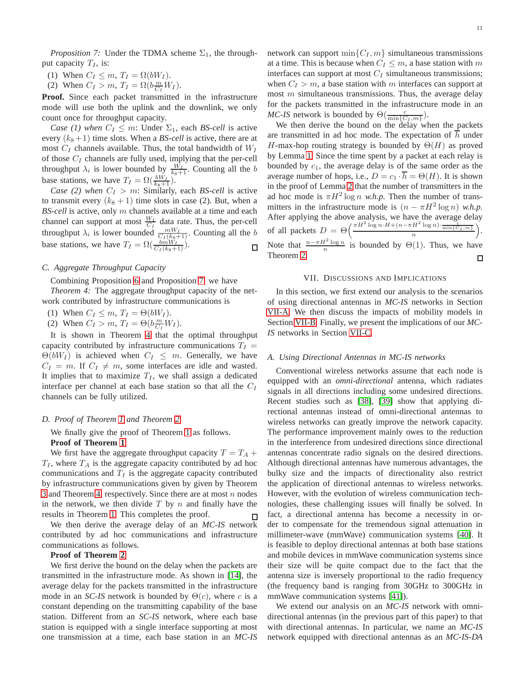*Proposition 7:* Under the TDMA scheme  $\Sigma_1$ , the throughput capacity  $T_I$ , is:

(1) When  $C_I \leq m$ ,  $T_I = \Omega(bW_I)$ .

(2) When  $C_I > m$ ,  $T_I = \Omega(b \frac{m}{C_I} W_I)$ .

**Proof.** Since each packet transmitted in the infrastructure mode will use both the uplink and the downlink, we only count once for throughput capacity.

*Case (1) when*  $C_I \leq m$ : Under  $\Sigma_1$ , each *BS-cell* is active every  $(k_8+1)$  time slots. When a *BS-cell* is active, there are at most  $C_I$  channels available. Thus, the total bandwidth of  $W_I$ of those  $C_I$  channels are fully used, implying that the per-cell throughput  $\lambda_i$  is lower bounded by  $\frac{W_I}{k_8+1}$ . Counting all the b base stations, we have  $T_I = \Omega(\frac{bW_I}{k_8+1})$ .

*Case (2) when*  $C_I > m$ : Similarly, each *BS-cell* is active to transmit every  $(k_8 + 1)$  time slots in case (2). But, when a *BS-cell* is active, only m channels available at a time and each channel can support at most  $\frac{W_I}{C_I}$  data rate. Thus, the per-cell throughput  $\lambda_i$  is lower bounded  $\frac{mW_I}{C_I(k_8+1)}$ . Counting all the b base stations, we have  $T_I = \Omega(\frac{bmW_I}{C_I(k_8+1)})$ .

## <span id="page-10-1"></span>*C. Aggregate Throughput Capacity*

Combining Proposition [6](#page-9-5) and Proposition [7,](#page-9-6) we have

*Theorem 4:* The aggregate throughput capacity of the network contributed by infrastructure communications is

(1) When  $C_I \leq m$ ,  $T_I = \Theta(bW_I)$ .

(2) When  $C_I > m$ ,  $T_I = \Theta(b \frac{m}{C_I} W_I)$ .

It is shown in Theorem [4](#page-10-3) that the optimal throughput capacity contributed by infrastructure communications  $T_I =$  $\Theta(bW_I)$  is achieved when  $C_I \leq m$ . Generally, we have  $C_I = m$ . If  $C_I \neq m$ , some interfaces are idle and wasted. It implies that to maximize  $T_I$ , we shall assign a dedicated interface per channel at each base station so that all the  $C_I$ channels can be fully utilized.

#### <span id="page-10-2"></span>*D. Proof of Theorem [1](#page-4-4) and Theorem [2](#page-5-0)*

We finally give the proof of Theorem [1](#page-4-4) as follows.

## **Proof of Theorem [1](#page-4-4)**

We first have the aggregate throughput capacity  $T = T_A +$  $T_I$ , where  $T_A$  is the aggregate capacity contributed by ad hoc communications and  $T_I$  is the aggregate capacity contributed by infrastructure communications given by given by Theorem [3](#page-9-7) and Theorem [4,](#page-10-3) respectively. Since there are at most  $n$  nodes in the network, we then divide  $T$  by  $n$  and finally have the results in Theorem [1.](#page-4-4) This completes the proof. П

We then derive the average delay of an *MC-IS* network contributed by ad hoc communications and infrastructure communications as follows.

## **Proof of Theorem [2](#page-5-0)**

We first derive the bound on the delay when the packets are transmitted in the infrastructure mode. As shown in [\[14\]](#page-13-7), the average delay for the packets transmitted in the infrastructure mode in an *SC-IS* network is bounded by  $\Theta(c)$ , where c is a constant depending on the transmitting capability of the base station. Different from an *SC-IS* network, where each base station is equipped with a single interface supporting at most one transmission at a time, each base station in an *MC-IS* network can support  $\min\{C_I, m\}$  simultaneous transmissions at a time. This is because when  $C_I \leq m$ , a base station with m interfaces can support at most  $C_I$  simultaneous transmissions; when  $C_I > m$ , a base station with m interfaces can support at most  $m$  simultaneous transmissions. Thus, the average delay for the packets transmitted in the infrastructure mode in an *MC-IS* network is bounded by  $\Theta(\frac{c}{\min\{C_I, m\}})$ .

We then derive the bound on the delay when the packets are transmitted in ad hoc mode. The expectation of  $h$  under H-max-hop routing strategy is bounded by  $\Theta(H)$  as proved by Lemma [1.](#page-6-3) Since the time spent by a packet at each relay is bounded by  $c_1$ , the average delay is of the same order as the average number of hops, i.e.,  $D = c_1 \cdot \overline{h} = \Theta(H)$ . It is shown in the proof of Lemma [2](#page-7-2) that the number of transmitters in the ad hoc mode is  $\pi H^2 \log n$  w.h.p. Then the number of transmitters in the infrastructure mode is  $(n - \pi H^2 \log n)$  *w.h.p.* After applying the above analysis, we have the average delay of all packets  $D = \Theta\left(\frac{\pi H^2 \log n \cdot H + (n - \pi H^2 \log n) \cdot \frac{c}{\min\{C_I, m\}}}{n}\right)$ . Note that  $\frac{n-\pi H^2 \log n}{n}$  is bounded by  $\Theta(1)$ . Thus, we have Theorem [2.](#page-5-0)  $\Box$ 

## VII. DISCUSSIONS AND IMPLICATIONS

<span id="page-10-3"></span><span id="page-10-0"></span>In this section, we first extend our analysis to the scenarios of using directional antennas in *MC-IS* networks in Section [VII-A.](#page-10-4) We then discuss the impacts of mobility models in Section [VII-B.](#page-12-2) Finally, we present the implications of our *MC-IS* networks in Section [VII-C.](#page-12-0)

#### <span id="page-10-4"></span>*A. Using Directional Antennas in MC-IS networks*

Conventional wireless networks assume that each node is equipped with an *omni-directional* antenna, which radiates signals in all directions including some undesired directions. Recent studies such as [\[38\]](#page-14-18), [\[39\]](#page-14-19) show that applying directional antennas instead of omni-directional antennas to wireless networks can greatly improve the network capacity. The performance improvement mainly owes to the reduction in the interference from undesired directions since directional antennas concentrate radio signals on the desired directions. Although directional antennas have numerous advantages, the bulky size and the impacts of directionality also restrict the application of directional antennas to wireless networks. However, with the evolution of wireless communication technologies, these challenging issues will finally be solved. In fact, a directional antenna has become a necessity in order to compensate for the tremendous signal attenuation in millimeter-wave (mmWave) communication systems [\[40\]](#page-14-20). It is feasible to deploy directional antennas at both base stations and mobile devices in mmWave communication systems since their size will be quite compact due to the fact that the antenna size is inversely proportional to the radio frequency (the frequency band is ranging from 30GHz to 300GHz in mmWave communication systems [\[41\]](#page-14-21)).

We extend our analysis on an *MC-IS* network with omnidirectional antennas (in the previous part of this paper) to that with directional antennas. In particular, we name an *MC-IS* network equipped with directional antennas as an *MC-IS-DA*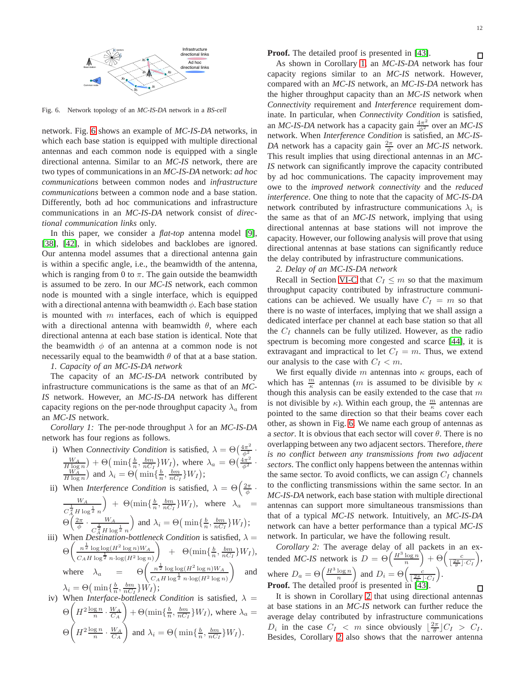

<span id="page-11-0"></span>Fig. 6. Network topology of an *MC-IS-DA* network in a *BS-cell*

network. Fig. [6](#page-11-0) shows an example of *MC-IS-DA* networks, in which each base station is equipped with multiple directional antennas and each common node is equipped with a single directional antenna. Similar to an *MC-IS* network, there are two types of communications in an *MC-IS-DA* network: *ad hoc communications* between common nodes and *infrastructure communications* between a common node and a base station. Differently, both ad hoc communications and infrastructure communications in an *MC-IS-DA* network consist of *directional communication links* only.

In this paper, we consider a *flat-top* antenna model [\[9\]](#page-13-4), [\[38\]](#page-14-18), [\[42\]](#page-14-22), in which sidelobes and backlobes are ignored. Our antenna model assumes that a directional antenna gain is within a specific angle, i.e., the beamwidth of the antenna, which is ranging from 0 to  $\pi$ . The gain outside the beamwidth is assumed to be zero. In our *MC-IS* network, each common node is mounted with a single interface, which is equipped with a directional antenna with beamwidth  $\phi$ . Each base station is mounted with  $m$  interfaces, each of which is equipped with a directional antenna with beamwidth  $\theta$ , where each directional antenna at each base station is identical. Note that the beamwidth  $\phi$  of an antenna at a common node is not necessarily equal to the beamwidth  $\theta$  of that at a base station.

*1. Capacity of an MC-IS-DA network*

The capacity of an *MC-IS-DA* network contributed by infrastructure communications is the same as that of an *MC-IS* network. However, an *MC-IS-DA* network has different capacity regions on the per-node throughput capacity  $\lambda_a$  from an *MC-IS* network.

*Corollary 1:* The per-node throughput λ for an *MC-IS-DA* network has four regions as follows.

- <span id="page-11-1"></span>i) When *Connectivity Condition* is satisfied,  $\lambda = \Theta \left( \frac{4\pi^2}{\phi^2} \cdot \frac{W_A}{H \log n} \right) + \Theta \left( \min \left\{ \frac{h}{n}, \frac{bm}{nC_I} \right\} W_I \right)$ , where  $\lambda_a = \Theta \left( \frac{4\pi^2}{\phi^2} \cdot \frac{W_A}{H \log n} \right)$  and  $\lambda_i = \Theta \left( \min \left\{ \frac{h}{n}, \frac{bm}{nC_I} \right\} W_I \right)$ ;
- ii) When *Interference Condition* is satisfied,  $\lambda = \Theta\left(\frac{2\pi}{\phi} \cdot \frac{2\pi}{\phi}\right)$  $W$ .  $\mathbf{r}$

$$
\frac{W_A}{C_A^{\frac{1}{2}}H \log^{\frac{1}{2}} n} + \Theta(\min\{\frac{b}{n}, \frac{bm}{nC_I}\}W_I), \text{ where } \lambda_a = \Theta\left(\frac{2\pi}{\pi}, \frac{W_A}{C_A^{\frac{1}{2}}H \log^{\frac{1}{2}} n}\right) \text{ and } \lambda_i = \Theta\left(\min\{\frac{b}{n}, \frac{bm}{nC_I}\}W_I\right);
$$

iii) When *Destination-bottleneck Condition* is satisfied, 
$$
\lambda =
$$
  
\n
$$
\Theta\left(\frac{n^{\frac{1}{2}} \log \log(H^2 \log n) W_A}{C_A H \log^{\frac{1}{2}} n \cdot \log(H^2 \log n)}\right) + \Theta(\min\{\frac{b}{n}, \frac{bm}{nC_I}\} W_I),
$$
\nwhere  $\lambda_a = \Theta\left(\frac{n^{\frac{1}{2}} \log \log(H^2 \log n) W_A}{C_A H \log^{\frac{1}{2}} n \cdot \log(H^2 \log n)}\right)$  and  $\lambda_i = \Theta(\min\{\frac{b}{n}, \frac{bm}{nC_I}\} W_I);$ 

iv) When *Interface-bottleneck Condition* is satisfied, 
$$
\lambda = \Theta\left(H^2 \frac{\log n}{n} \cdot \frac{WA}{CA}\right) + \Theta(\min\{\frac{b}{n}, \frac{bm}{nC_I}\}W_I)
$$
, where  $\lambda_a = \Theta\left(H^2 \frac{\log n}{n} \cdot \frac{WA}{CA}\right)$  and  $\lambda_i = \Theta\left(\min\{\frac{b}{n}, \frac{bm}{nC_I}\}W_I\right)$ .

 $\Box$ 

**Proof.** The detailed proof is presented in [\[43\]](#page-14-23).

As shown in Corollary [1,](#page-11-1) an *MC-IS-DA* network has four capacity regions similar to an *MC-IS* network. However, compared with an *MC-IS* network, an *MC-IS-DA* network has the higher throughput capacity than an *MC-IS* network when *Connectivity* requirement and *Interference* requirement dominate. In particular, when *Connectivity Condition* is satisfied, an *MC-IS-DA* network has a capacity gain  $\frac{4\pi^2}{\phi^2}$  over an *MC-IS* network. When *Interference Condition* is satisfied, an *MC-IS-DA* network has a capacity gain  $\frac{2\pi}{\phi}$  over an *MC-IS* network. This result implies that using directional antennas in an *MC-IS* network can significantly improve the capacity contributed by ad hoc communications. The capacity improvement may owe to the *improved network connectivity* and the *reduced interference*. One thing to note that the capacity of *MC-IS-DA* network contributed by infrastructure communications  $\lambda_i$  is the same as that of an *MC-IS* network, implying that using directional antennas at base stations will not improve the capacity. However, our following analysis will prove that using directional antennas at base stations can significantly reduce the delay contributed by infrastructure communications.

*2. Delay of an MC-IS-DA network*

Recall in Section [VI-C](#page-10-1) that  $C_I \leq m$  so that the maximum throughput capacity contributed by infrastructure communications can be achieved. We usually have  $C_I = m$  so that there is no waste of interfaces, implying that we shall assign a dedicated interface per channel at each base station so that all the  $C_I$  channels can be fully utilized. However, as the radio spectrum is becoming more congested and scarce [\[44\]](#page-14-24), it is extravagant and impractical to let  $C_I = m$ . Thus, we extend our analysis to the case with  $C_I < m$ .

We first equally divide m antennas into  $\kappa$  groups, each of which has  $\frac{m}{\kappa}$  antennas (*m* is assumed to be divisible by  $\kappa$ though this analysis can be easily extended to the case that  $m$ is not divisible by  $\kappa$ ). Within each group, the  $\frac{m}{\kappa}$  antennas are pointed to the same direction so that their beams cover each other, as shown in Fig. [6.](#page-11-0) We name each group of antennas as a *sector*. It is obvious that each sector will cover  $\theta$ . There is no overlapping between any two adjacent sectors. Therefore, *there is no conflict between any transmissions from two adjacent sectors*. The conflict only happens between the antennas within the same sector. To avoid conflicts, we can assign  $C_I$  channels to the conflicting transmissions within the same sector. In an *MC-IS-DA* network, each base station with multiple directional antennas can support more simultaneous transmissions than that of a typical *MC-IS* network. Intuitively, an *MC-IS-DA* network can have a better performance than a typical *MC-IS* network. In particular, we have the following result.

<span id="page-11-2"></span>*Corollary 2:* The average delay of all packets in an extended *MC-IS* network is  $D = \Theta\left(\frac{H^3 \log n}{n}\right) + \Theta\left(\frac{c}{\sqrt{\frac{2\pi}{n}}} \right)$  ,  $\lfloor \frac{2\pi}{\theta} \rfloor \cdot C_I$ where  $D_a = \Theta\left(\frac{H^3 \log n}{n}\right)$  and  $D_i = \Theta\left(\frac{c}{\sqrt{\frac{2\pi}{n}}} \right)$  .  $\lfloor \frac{2\pi}{\theta} \rfloor \cdot C_I$ **Proof.** The detailed proof is presented in [\[43\]](#page-14-23).  $\Box$ 

It is shown in Corollary [2](#page-11-2) that using directional antennas at base stations in an *MC-IS* network can further reduce the average delay contributed by infrastructure communications  $D_i$  in the case  $C_I < m$  since obviously  $\left\lfloor \frac{2\pi}{\theta} \right\rfloor C_I > C_I$ . Besides, Corollary [2](#page-11-2) also shows that the narrower antenna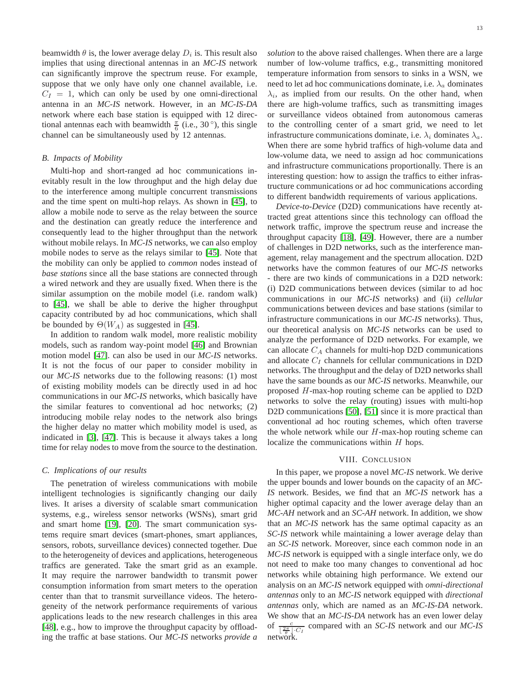beamwidth  $\theta$  is, the lower average delay  $D_i$  is. This result also implies that using directional antennas in an *MC-IS* network can significantly improve the spectrum reuse. For example, suppose that we only have only one channel available, i.e.  $C_I = 1$ , which can only be used by one omni-directional antenna in an *MC-IS* network. However, in an *MC-IS-DA* network where each base station is equipped with 12 directional antennas each with beamwidth  $\frac{\pi}{6}$  (i.e., 30<sup>o</sup>), this single channel can be simultaneously used by 12 antennas.

#### <span id="page-12-2"></span>*B. Impacts of Mobility*

Multi-hop and short-ranged ad hoc communications inevitably result in the low throughput and the high delay due to the interference among multiple concurrent transmissions and the time spent on multi-hop relays. As shown in [\[45\]](#page-14-25), to allow a mobile node to serve as the relay between the source and the destination can greatly reduce the interference and consequently lead to the higher throughput than the network without mobile relays. In *MC-IS* networks, we can also employ mobile nodes to serve as the relays similar to [\[45\]](#page-14-25). Note that the mobility can only be applied to *common* nodes instead of *base stations* since all the base stations are connected through a wired network and they are usually fixed. When there is the similar assumption on the mobile model (i.e. random walk) to [\[45\]](#page-14-25), we shall be able to derive the higher throughput capacity contributed by ad hoc communications, which shall be bounded by  $\Theta(W_A)$  as suggested in [\[45\]](#page-14-25).

In addition to random walk model, more realistic mobility models, such as random way-point model [\[46\]](#page-14-26) and Brownian motion model [\[47\]](#page-14-27). can also be used in our *MC-IS* networks. It is not the focus of our paper to consider mobility in our *MC-IS* networks due to the following reasons: (1) most of existing mobility models can be directly used in ad hoc communications in our *MC-IS* networks, which basically have the similar features to conventional ad hoc networks; (2) introducing mobile relay nodes to the network also brings the higher delay no matter which mobility model is used, as indicated in [\[3\]](#page-13-2), [\[47\]](#page-14-27). This is because it always takes a long time for relay nodes to move from the source to the destination.

## <span id="page-12-0"></span>*C. Implications of our results*

The penetration of wireless communications with mobile intelligent technologies is significantly changing our daily lives. It arises a diversity of scalable smart communication systems, e.g., wireless sensor networks (WSNs), smart grid and smart home [\[19\]](#page-14-3), [\[20\]](#page-14-4). The smart communication systems require smart devices (smart-phones, smart appliances, sensors, robots, surveillance devices) connected together. Due to the heterogeneity of devices and applications, heterogeneous traffics are generated. Take the smart grid as an example. It may require the narrower bandwidth to transmit power consumption information from smart meters to the operation center than that to transmit surveillance videos. The heterogeneity of the network performance requirements of various applications leads to the new research challenges in this area [\[48\]](#page-14-28), e.g., how to improve the throughput capacity by offloading the traffic at base stations. Our *MC-IS* networks *provide a* *solution* to the above raised challenges. When there are a large number of low-volume traffics, e.g., transmitting monitored temperature information from sensors to sinks in a WSN, we need to let ad hoc communications dominate, i.e.  $\lambda_a$  dominates  $\lambda_i$ , as implied from our results. On the other hand, when there are high-volume traffics, such as transmitting images or surveillance videos obtained from autonomous cameras to the controlling center of a smart grid, we need to let infrastructure communications dominate, i.e.  $\lambda_i$  dominates  $\lambda_a$ . When there are some hybrid traffics of high-volume data and low-volume data, we need to assign ad hoc communications and infrastructure communications proportionally. There is an interesting question: how to assign the traffics to either infrastructure communications or ad hoc communications according to different bandwidth requirements of various applications.

*Device-to-Device* (D2D) communications have recently attracted great attentions since this technology can offload the network traffic, improve the spectrum reuse and increase the throughput capacity [\[18\]](#page-14-2), [\[49\]](#page-14-29). However, there are a number of challenges in D2D networks, such as the interference management, relay management and the spectrum allocation. D2D networks have the common features of our *MC-IS* networks - there are two kinds of communications in a D2D network: (i) D2D communications between devices (similar to ad hoc communications in our *MC-IS* networks) and (ii) *cellular* communications between devices and base stations (similar to infrastructure communications in our *MC-IS* networks). Thus, our theoretical analysis on *MC-IS* networks can be used to analyze the performance of D2D networks. For example, we can allocate  $C_A$  channels for multi-hop D2D communications and allocate  $C_I$  channels for cellular communications in D2D networks. The throughput and the delay of D2D networks shall have the same bounds as our *MC-IS* networks. Meanwhile, our proposed H-max-hop routing scheme can be applied to D2D networks to solve the relay (routing) issues with multi-hop D2D communications [\[50\]](#page-14-30), [\[51\]](#page-14-31) since it is more practical than conventional ad hoc routing schemes, which often traverse the whole network while our  $H$ -max-hop routing scheme can localize the communications within H hops.

#### VIII. CONCLUSION

<span id="page-12-1"></span>In this paper, we propose a novel *MC-IS* network. We derive the upper bounds and lower bounds on the capacity of an *MC-IS* network. Besides, we find that an *MC-IS* network has a higher optimal capacity and the lower average delay than an *MC-AH* network and an *SC-AH* network. In addition, we show that an *MC-IS* network has the same optimal capacity as an *SC-IS* network while maintaining a lower average delay than an *SC-IS* network. Moreover, since each common node in an *MC-IS* network is equipped with a single interface only, we do not need to make too many changes to conventional ad hoc networks while obtaining high performance. We extend our analysis on an *MC-IS* network equipped with *omni-directional antennas* only to an *MC-IS* network equipped with *directional antennas* only, which are named as an *MC-IS-DA* network. We show that an *MC-IS-DA* network has an even lower delay of  $\frac{c}{\lfloor \frac{2\pi}{\theta} \rfloor \cdot C_I}$  compared with an *SC-IS* network and our *MC-IS* network.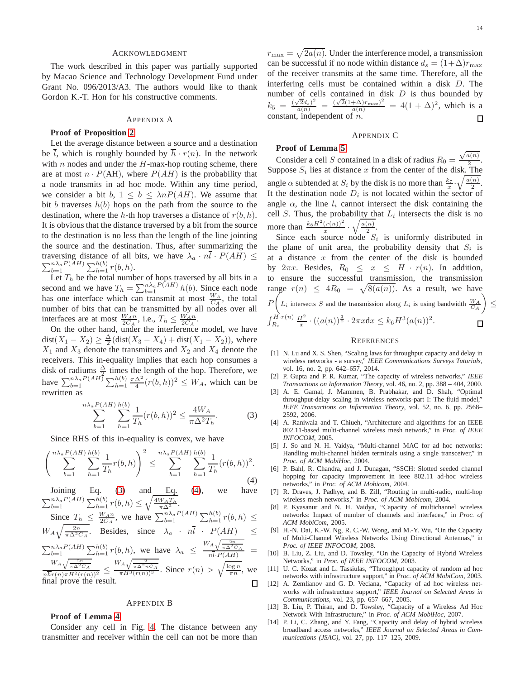The work described in this paper was partially supported by Macao Science and Technology Development Fund under Grant No. 096/2013/A3. The authors would like to thank Gordon K.-T. Hon for his constructive comments.

#### APPENDIX A

#### **Proof of Proposition [2](#page-7-3)**

Let the average distance between a source and a destination be  $\bar{l}$ , which is roughly bounded by  $\bar{h} \cdot r(n)$ . In the network with  $n$  nodes and under the  $H$ -max-hop routing scheme, there are at most  $n \cdot P(AH)$ , where  $P(AH)$  is the probability that a node transmits in ad hoc mode. Within any time period, we consider a bit b,  $1 \leq b \leq \lambda n P(AH)$ . We assume that bit b traverses  $h(b)$  hops on the path from the source to the destination, where the h-th hop traverses a distance of  $r(b, h)$ . It is obvious that the distance traversed by a bit from the source to the destination is no less than the length of the line jointing the source and the destination. Thus, after summarizing the traversing distance of all bits, we have  $\lambda_a \cdot n \overline{l} \cdot P(AH) \leq$  $\sum_{b=1}^{n\lambda_a P(AH)} \sum_{h=1}^{h(b)} r(b, h).$ 

Let  $T_h$  be the total number of hops traversed by all bits in a second and we have  $T_h = \sum_{b=1}^{n_{\lambda_a} P(AH)} h(b)$ . Since each node has one interface which can transmit at most  $\frac{W_A}{C_A}$ , the total number of bits that can be transmitted by all nodes over all interfaces are at most  $\frac{W_{A}n}{2CA}$ , i.e.,  $T_h \leq \frac{W_{A}n}{2CA}$ .

On the other hand, under the interference model, we have dist( $X_1 - X_2$ )  $\geq \frac{\Delta}{2}$ (dist( $X_3 - X_4$ ) + dist( $X_1 - X_2$ )), where  $X_1$  and  $X_3$  denote the transmitters and  $X_2$  and  $X_4$  denote the receivers. This in-equality implies that each hop consumes a disk of radiums  $\frac{\Delta}{2}$  times the length of the hop. Therefore, we have  $\sum_{b=1}^{n_{\lambda_a}} P(AH) \sum_{h=1}^{h(b)} \frac{\pi \Delta^2}{4} (r(b,h))^2 \leq W_A$ , which can be rewritten as

<span id="page-13-9"></span>
$$
\sum_{b=1}^{n\lambda_a P(AH)} \sum_{h=1}^{h(b)} \frac{1}{T_h} (r(b,h))^2 \le \frac{4W_A}{\pi \Delta^2 T_h}.
$$
 (3)

Since RHS of this in-equality is convex, we have

<span id="page-13-10"></span>
$$
\left(\sum_{b=1}^{n\lambda_a P(AH)} \sum_{h=1}^{h(b)} \frac{1}{T_h} r(b, h)\right)^2 \le \sum_{b=1}^{n\lambda_a P(AH)} \sum_{h=1}^{h(b)} \frac{1}{T_h} (r(b, h))^2.
$$
\n(4)

Joining Eq. [\(3\)](#page-13-9) and Eq. [\(4\)](#page-13-10), we have  $\sum_{b=1}^{n\lambda_a P(AH)} \sum_{h=1}^{h(b)} r(b,h) \leq$  $\frac{1}{2}$  $4W_AT_h$  $\frac{W_A T_h}{\pi \Delta^2}$ .

Since 
$$
T_h \leq \frac{W_{A^n}}{2C_A}
$$
, we have  $\sum_{b=1}^{n_{\lambda_a}P(AH)} \sum_{h=1}^{h(b)} r(b, h) \leq W_A \sqrt{\frac{2n}{\pi \Delta^2 C_A}}$ . Besides, since  $\lambda_a \cdot n\overline{l} \cdot P(AH) \leq$ 

$$
\sum_{b=1}^{n\lambda_a P(AH)} \sum_{h=1}^{h(b)} r(b, h),
$$
 we have  $\lambda_a \leq \frac{W_A \sqrt{\frac{2n}{\pi \Delta^2 C_A}}}{n\overline{l} \cdot P(AH)}$ 

 $W_A \sqrt{\frac{2n}{\pi \Delta^2}}$  $\frac{\sqrt{A}\sqrt{\frac{2}{\pi\Delta^2nC_A}}}{\pi H^3(r(n))^3}$ . Since  $r(n) > \sqrt{\frac{\log n}{\pi n}}$ , we  $W_A$  $\frac{W_A \sqrt{\pi \Delta^2 C_A}}{n \overline{h} r(n) \pi H^2(r(n))^2} \leq$ final prove the result. □

#### APPENDIX B

## **Proof of Lemma [4](#page-8-5)**

Consider any cell in Fig. [4.](#page-8-3) The distance between any transmitter and receiver within the cell can not be more than ≤

 $r_{\text{max}} = \sqrt{2a(n)}$ . Under the interference model, a transmission can be successful if no node within distance  $d_s = (1+\Delta)r_{\text{max}}$ of the receiver transmits at the same time. Therefore, all the interfering cells must be contained within a disk D. The number of cells contained in disk  $D$  is thus bounded by  $k_5 = \frac{(\sqrt{2}d_s)^2}{a(n)} = \frac{(\sqrt{2}(1+\Delta)r_{\text{max}})^2}{a(n)} = 4(1+\Delta)^2$ , which is a constant, independent of *n*.  $\Box$ 

# APPENDIX C

#### **Proof of Lemma [5](#page-8-7)**

Consider a cell S contained in a disk of radius  $R_0 =$  $\sqrt{a(n)}$  $rac{i(n)}{2}$ . Suppose  $S_i$  lies at distance x from the center of the disk. The angle  $\alpha$  subtended at  $S_i$  by the disk is no more than  $\frac{k_7}{x}$ .  $\frac{a(n)}{n}$  $\frac{(n)}{2}$ . It the destination node  $D_i$  is not located within the sector of angle  $\alpha$ , the line  $l_i$  cannot intersect the disk containing the cell S. Thus, the probability that  $L_i$  intersects the disk is no more than  $\frac{k_8H^2(r(n))^2}{r}$  $\frac{x}{x}$ .  $\sqrt{\frac{a(n)}{2}}$ .

Since each source node  $S_i$  is uniformly distributed in the plane of unit area, the probability density that  $S_i$  is at a distance  $x$  from the center of the disk is bounded by  $2\pi x$ . Besides,  $R_0 \leq x \leq H \cdot r(n)$ . In addition, to ensure the successful transmission, the transmission range  $r(n) \leq 4R_0 = \sqrt{8(a(n))}$ . As a result, we have  $P\left(L_i \text{ intersects } S \text{ and the transmission along } L_i \text{ is using bandwidth } \frac{W_A}{CA}\right)$  $\setminus$  $\int_{R_o}^{H \cdot r(n)} \frac{H^2}{x} \cdot ((a(n))^{\frac{3}{2}} \cdot 2\pi x dx \le k_6 H^3(a(n))^2.$  $\Box$ 

#### **REFERENCES**

- <span id="page-13-0"></span>[1] N. Lu and X. S. Shen, "Scaling laws for throughput capacity and delay in wireless networks - a survey," *IEEE Communications Surveys Tutorials*, vol. 16, no. 2, pp. 642–657, 2014.
- <span id="page-13-1"></span>[2] P. Gupta and P. R. Kumar, "The capacity of wireless networks," *IEEE Transactions on Information Theory*, vol. 46, no. 2, pp. 388 – 404, 2000.
- <span id="page-13-2"></span>[3] A. E. Gamal, J. Mammen, B. Prabhakar, and D. Shah, "Optimal throughput-delay scaling in wireless networks-part I: The fluid model," *IEEE Transactions on Information Theory*, vol. 52, no. 6, pp. 2568– 2592, 2006.
- <span id="page-13-3"></span>[4] A. Raniwala and T. Chiueh, "Architecture and algorithms for an IEEE 802.11-based multi-channel wireless mesh network," in *Proc. of IEEE INFOCOM*, 2005.
- [5] J. So and N. H. Vaidya, "Multi-channel MAC for ad hoc networks: Handling multi-channel hidden terminals using a single transceiver," in *Proc. of ACM MobiHoc*, 2004.
- [6] P. Bahl, R. Chandra, and J. Dunagan, "SSCH: Slotted seeded channel hopping for capacity improvement in ieee 802.11 ad-hoc wireless networks," in *Proc. of ACM Mobicom*, 2004.
- [7] R. Draves, J. Padhye, and B. Zill, "Routing in multi-radio, multi-hop wireless mesh networks," in *Proc. of ACM Mobicom*, 2004.
- <span id="page-13-5"></span>[8] P. Kyasanur and N. H. Vaidya, "Capacity of multichannel wireless networks: Impact of number of channels and interfaces," in *Proc. of ACM MobiCom*, 2005.
- <span id="page-13-4"></span>[9] H.-N. Dai, K.-W. Ng, R. C.-W. Wong, and M.-Y. Wu, "On the Capacity of Multi-Channel Wireless Networks Using Directional Antennas," in *Proc. of IEEE INFOCOM*, 2008.
- <span id="page-13-6"></span>[10] B. Liu, Z. Liu, and D. Towsley, "On the Capacity of Hybrid Wireless Networks," in *Proc. of IEEE INFOCOM*, 2003.
- [11] U. C. Kozat and L. Tassiulas, "Throughput capacity of random ad hoc networks with infrastructure support," in *Proc. of ACM MobiCom*, 2003.
- <span id="page-13-8"></span>[12] A. Zemlianov and G. D. Veciana, "Capacity of ad hoc wireless networks with infrastructure support," *IEEE Journal on Selected Areas in Communications*, vol. 23, pp. 657–667, 2005.
- [13] B. Liu, P. Thiran, and D. Towsley, "Capacity of a Wireless Ad Hoc Network With Infrastructure," in *Proc. of ACM MobiHoc*, 2007.
- <span id="page-13-7"></span>[14] P. Li, C. Zhang, and Y. Fang, "Capacity and delay of hybrid wireless broadband access networks," *IEEE Journal on Selected Areas in Communications (JSAC)*, vol. 27, pp. 117–125, 2009.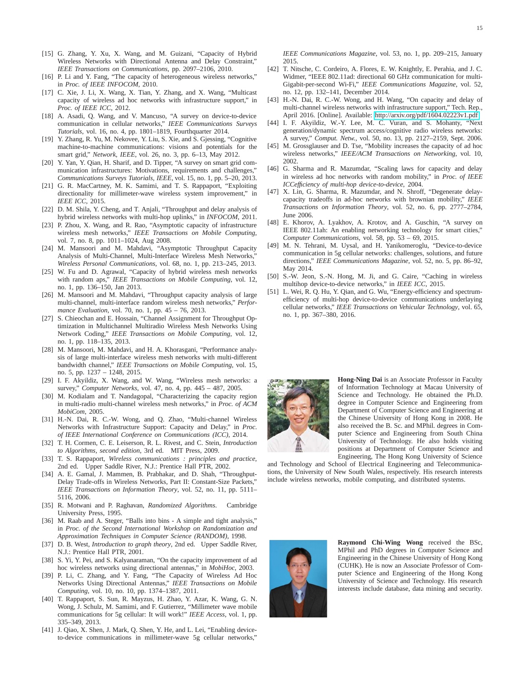- <span id="page-14-0"></span>[15] G. Zhang, Y. Xu, X. Wang, and M. Guizani, "Capacity of Hybrid Wireless Networks with Directional Antenna and Delay Constraint," *IEEE Transactions on Communications*, pp. 2097–2106, 2010.
- [16] P. Li and Y. Fang, "The capacity of heterogeneous wireless networks," in *Proc. of IEEE INFOCOM*, 2010.
- <span id="page-14-1"></span>[17] C. Xie, J. Li, X. Wang, X. Tian, Y. Zhang, and X. Wang, "Multicast capacity of wireless ad hoc networks with infrastructure support," in *Proc. of IEEE ICC*, 2012.
- <span id="page-14-2"></span>[18] A. Asadi, Q. Wang, and V. Mancuso, "A survey on device-to-device communication in cellular networks," *IEEE Communications Surveys Tutorials*, vol. 16, no. 4, pp. 1801–1819, Fourthquarter 2014.
- <span id="page-14-3"></span>[19] Y. Zhang, R. Yu, M. Nekovee, Y. Liu, S. Xie, and S. Gjessing, "Cognitive machine-to-machine communications: visions and potentials for the smart grid," *Network, IEEE*, vol. 26, no. 3, pp. 6–13, May 2012.
- <span id="page-14-4"></span>[20] Y. Yan, Y. Qian, H. Sharif, and D. Tipper, "A survey on smart grid communication infrastructures: Motivations, requirements and challenges," *Communications Surveys Tutorials, IEEE*, vol. 15, no. 1, pp. 5–20, 2013.
- <span id="page-14-5"></span>[21] G. R. MacCartney, M. K. Samimi, and T. S. Rappaport, "Exploiting directionality for millimeter-wave wireless system improvement," in *IEEE ICC*, 2015.
- <span id="page-14-6"></span>[22] D. M. Shila, Y. Cheng, and T. Anjali, "Throughput and delay analysis of hybrid wireless networks with multi-hop uplinks," in *INFOCOM*, 2011.
- <span id="page-14-7"></span>[23] P. Zhou, X. Wang, and R. Rao, "Asymptotic capacity of infrastructure wireless mesh networks," *IEEE Transactions on Mobile Computing*, vol. 7, no. 8, pp. 1011–1024, Aug 2008.
- [24] M. Mansoori and M. Mahdavi, "Asymptotic Throughput Capacity Analysis of Multi-Channel, Multi-Interface Wireless Mesh Networks," *Wireless Personal Communications*, vol. 68, no. 1, pp. 213–245, 2013.
- [25] W. Fu and D. Agrawal, "Capacity of hybrid wireless mesh networks with random aps," *IEEE Transactions on Mobile Computing*, vol. 12, no. 1, pp. 136–150, Jan 2013.
- [26] M. Mansoori and M. Mahdavi, "Throughput capacity analysis of large multi-channel, multi-interface random wireless mesh networks," *Performance Evaluation*, vol. 70, no. 1, pp. 45 – 76, 2013.
- [27] S. Chieochan and E. Hossain, "Channel Assignment for Throughput Optimization in Multichannel Multiradio Wireless Mesh Networks Using Network Coding," *IEEE Transactions on Mobile Computing*, vol. 12, no. 1, pp. 118–135, 2013.
- <span id="page-14-8"></span>[28] M. Mansoori, M. Mahdavi, and H. A. Khorasgani, "Performance analysis of large multi-interface wireless mesh networks with multi-different bandwidth channel," *IEEE Transactions on Mobile Computing*, vol. 15, no. 5, pp. 1237 – 1248, 2015.
- <span id="page-14-9"></span>[29] I. F. Akyildiz, X. Wang, and W. Wang, "Wireless mesh networks: a survey," *Computer Networks*, vol. 47, no. 4, pp. 445 – 487, 2005.
- <span id="page-14-10"></span>[30] M. Kodialam and T. Nandagopal, "Characterizing the capacity region in multi-radio multi-channel wireless mesh networks," in *Proc. of ACM MobiCom*, 2005.
- <span id="page-14-11"></span>[31] H.-N. Dai, R. C.-W. Wong, and Q. Zhao, "Multi-channel Wireless Networks with Infrastructure Support: Capacity and Delay," in *Proc. of IEEE International Conference on Communications (ICC)*, 2014.
- <span id="page-14-12"></span>[32] T. H. Cormen, C. E. Leiserson, R. L. Rivest, and C. Stein, *Introduction to Algorithms, second edition*, 3rd ed. MIT Press, 2009.
- <span id="page-14-13"></span>[33] T. S. Rappaport, *Wireless communications : principles and practice*, 2nd ed. Upper Saddle River, N.J.: Prentice Hall PTR, 2002.
- <span id="page-14-14"></span>[34] A. E. Gamal, J. Mammen, B. Prabhakar, and D. Shah, "Throughput-Delay Trade-offs in Wireless Networks, Part II: Constant-Size Packets," *IEEE Transactions on Information Theory*, vol. 52, no. 11, pp. 5111– 5116, 2006.
- <span id="page-14-15"></span>[35] R. Motwani and P. Raghavan, *Randomized Algorithms*. Cambridge University Press, 1995.
- <span id="page-14-16"></span>[36] M. Raab and A. Steger, "Balls into bins - A simple and tight analysis," in *Proc. of the Second International Workshop on Randomization and Approximation Techniques in Computer Science (RANDOM)*, 1998.
- <span id="page-14-17"></span>[37] D. B. West, *Introduction to graph theory*, 2nd ed. Upper Saddle River, N.J.: Prentice Hall PTR, 2001.
- <span id="page-14-18"></span>[38] S. Yi, Y. Pei, and S. Kalyanaraman, "On the capacity improvement of ad hoc wireless networks using directional antennas," in *MobiHoc*, 2003.
- <span id="page-14-19"></span>[39] P. Li, C. Zhang, and Y. Fang, "The Capacity of Wireless Ad Hoc Networks Using Directional Antennas," *IEEE Transactions on Mobile Computing*, vol. 10, no. 10, pp. 1374–1387, 2011.
- <span id="page-14-20"></span>[40] T. Rappaport, S. Sun, R. Mayzus, H. Zhao, Y. Azar, K. Wang, G. N. Wong, J. Schulz, M. Samimi, and F. Gutierrez, "Millimeter wave mobile communications for 5g cellular: It will work!" *IEEE Access*, vol. 1, pp. 335–349, 2013.
- <span id="page-14-21"></span>[41] J. Qiao, X. Shen, J. Mark, Q. Shen, Y. He, and L. Lei, "Enabling deviceto-device communications in millimeter-wave 5g cellular networks,"

*IEEE Communications Magazine*, vol. 53, no. 1, pp. 209–215, January 2015.

- <span id="page-14-22"></span>[42] T. Nitsche, C. Cordeiro, A. Flores, E. W. Knightly, E. Perahia, and J. C. Widmer, "IEEE 802.11ad: directional 60 GHz communication for multi-Gigabit-per-second Wi-Fi," *IEEE Communications Magazine*, vol. 52, no. 12, pp. 132–141, December 2014.
- <span id="page-14-23"></span>[43] H.-N. Dai, R. C.-W. Wong, and H. Wang, "On capacity and delay of multi-channel wireless networks with infrastructure support," Tech. Rep., April 2016. [Online]. Available:<http://arxiv.org/pdf/1604.02223v1.pdf>
- <span id="page-14-24"></span>[44] I. F. Akyildiz, W.-Y. Lee, M. C. Vuran, and S. Mohanty, "Next generation/dynamic spectrum access/cognitive radio wireless networks: A survey," *Comput. Netw.*, vol. 50, no. 13, pp. 2127–2159, Sept. 2006.
- <span id="page-14-25"></span>[45] M. Grossglauser and D. Tse, "Mobility increases the capacity of ad hoc wireless networks," *IEEE/ACM Transactions on Networking*, vol. 10, 2002.
- <span id="page-14-26"></span>[46] G. Sharma and R. Mazumdar, "Scaling laws for capacity and delay in wireless ad hoc networks with random mobility," in *Proc. of IEEE ICCefficiency of multi-hop device-to-device*, 2004.
- <span id="page-14-27"></span>[47] X. Lin, G. Sharma, R. Mazumdar, and N. Shroff, "Degenerate delaycapacity tradeoffs in ad-hoc networks with brownian mobility," *IEEE Transactions on Information Theory*, vol. 52, no. 6, pp. 2777–2784, June 2006.
- <span id="page-14-28"></span>[48] E. Khorov, A. Lyakhov, A. Krotov, and A. Guschin, "A survey on IEEE 802.11ah: An enabling networking technology for smart cities," *Computer Communications*, vol. 58, pp. 53 – 69, 2015.
- <span id="page-14-29"></span>[49] M. N. Tehrani, M. Uysal, and H. Yanikomeroglu, "Device-to-device communication in 5g cellular networks: challenges, solutions, and future directions," *IEEE Communications Magazine*, vol. 52, no. 5, pp. 86–92, May 2014.
- <span id="page-14-30"></span>[50] S.-W. Jeon, S.-N. Hong, M. Ji, and G. Caire, "Caching in wireless multihop device-to-device networks," in *IEEE ICC*, 2015.
- <span id="page-14-31"></span>[51] L. Wei, R. Q. Hu, Y. Qian, and G. Wu, "Energy-efficiency and spectrumefficiency of multi-hop device-to-device communications underlaying cellular networks," *IEEE Transactions on Vehicular Technology*, vol. 65, no. 1, pp. 367–380, 2016.



**Hong-Ning Dai** is an Associate Professor in Faculty of Information Technology at Macau University of Science and Technology. He obtained the Ph.D. degree in Computer Science and Engineering from Department of Computer Science and Engineering at the Chinese University of Hong Kong in 2008. He also received the B. Sc. and MPhil. degrees in Computer Science and Engineering from South China University of Technology. He also holds visiting positions at Department of Computer Science and Engineering, The Hong Kong University of Science

and Technology and School of Electrical Engineering and Telecommunications, the University of New South Wales, respectively. His research interests include wireless networks, mobile computing, and distributed systems.



**Raymond Chi-Wing Wong** received the BSc, MPhil and PhD degrees in Computer Science and Engineering in the Chinese University of Hong Kong (CUHK). He is now an Associate Professor of Computer Science and Engineering of the Hong Kong University of Science and Technology. His research interests include database, data mining and security.